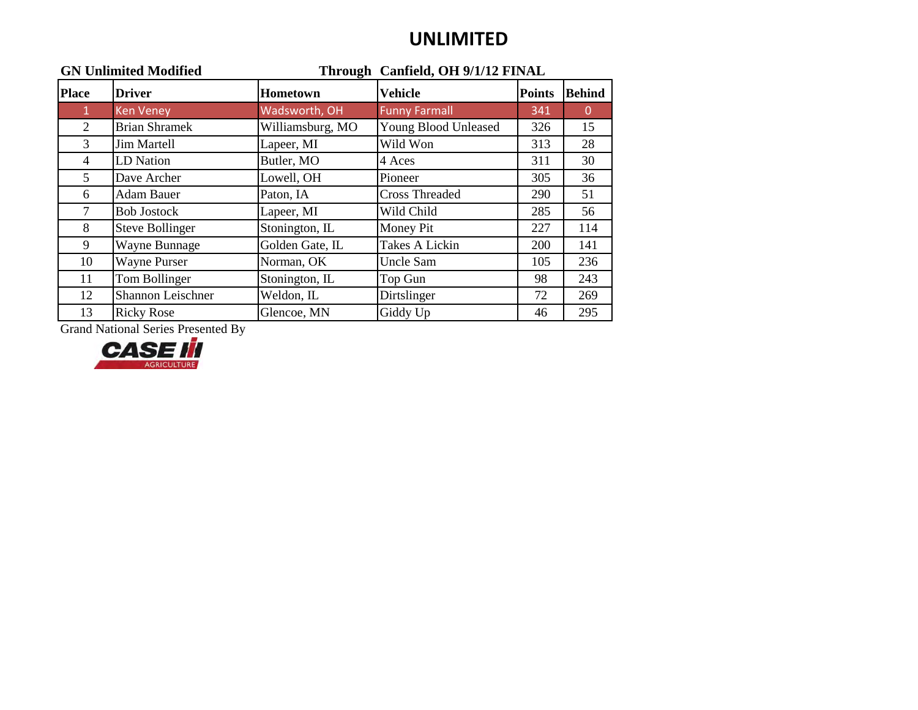### **UNLIMITED**

| <b>GN Unlimited Modified</b> |                        | Through Canfield, OH 9/1/12 FINAL |                             |               |               |
|------------------------------|------------------------|-----------------------------------|-----------------------------|---------------|---------------|
| <b>Place</b>                 | <b>Driver</b>          | Hometown                          | <b>Vehicle</b>              | <b>Points</b> | <b>Behind</b> |
| $\mathbf{1}$                 | <b>Ken Veney</b>       | Wadsworth, OH                     | <b>Funny Farmall</b>        | 341           | $\Omega$      |
| 2                            | <b>Brian Shramek</b>   | Williamsburg, MO                  | <b>Young Blood Unleased</b> | 326           | 15            |
| 3                            | <b>Jim Martell</b>     | Lapeer, MI                        | Wild Won                    | 313           | 28            |
| 4                            | LD Nation              | Butler, MO                        | 4 Aces                      | 311           | 30            |
| 5                            | Dave Archer            | Lowell, OH                        | Pioneer                     | 305           | 36            |
| 6                            | <b>Adam Bauer</b>      | Paton, IA                         | <b>Cross Threaded</b>       | 290           | 51            |
| $\tau$                       | <b>Bob Jostock</b>     | Lapeer, MI                        | Wild Child                  | 285           | 56            |
| 8                            | <b>Steve Bollinger</b> | Stonington, IL                    | Money Pit                   | 227           | 114           |
| 9                            | Wayne Bunnage          | Golden Gate, IL                   | <b>Takes A Lickin</b>       | 200           | 141           |
| 10                           | <b>Wayne Purser</b>    | Norman, OK                        | Uncle Sam                   | 105           | 236           |
| 11                           | Tom Bollinger          | Stonington, IL                    | Top Gun                     | 98            | 243           |
| 12                           | Shannon Leischner      | Weldon, IL                        | Dirtslinger                 | 72            | 269           |
| 13                           | <b>Ricky Rose</b>      | Glencoe, MN                       | Giddy Up                    | 46            | 295           |

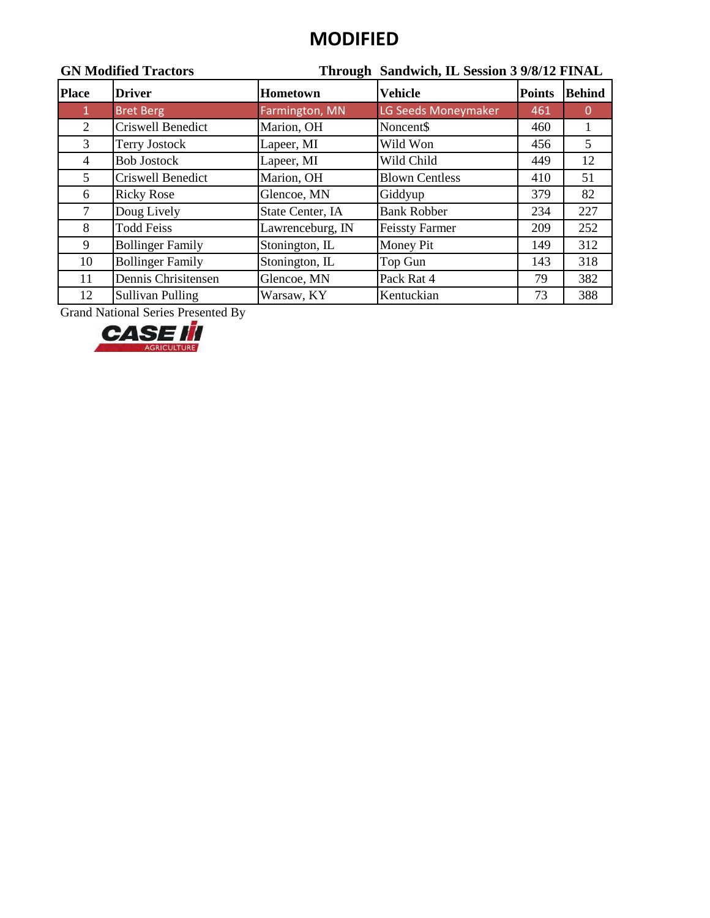## **MODIFIED**

| <b>GN Modified Tractors</b> |                         |                  | Through Sandwich, IL Session 3 9/8/12 FINAL |               |               |  |  |
|-----------------------------|-------------------------|------------------|---------------------------------------------|---------------|---------------|--|--|
| <b>Place</b>                | <b>Driver</b>           | Hometown         | <b>Vehicle</b>                              | <b>Points</b> | <b>Behind</b> |  |  |
| $\mathbf{1}$                | <b>Bret Berg</b>        | Farmington, MN   | LG Seeds Moneymaker                         | 461           | $\Omega$      |  |  |
| $\mathfrak{2}$              | Criswell Benedict       | Marion, OH       | Noncent\$                                   | 460           |               |  |  |
| 3                           | <b>Terry Jostock</b>    | Lapeer, MI       | Wild Won                                    | 456           | 5             |  |  |
| 4                           | <b>Bob Jostock</b>      | Lapeer, MI       | Wild Child                                  | 449           | 12            |  |  |
| 5                           | Criswell Benedict       | Marion, OH       | <b>Blown Centless</b>                       | 410           | 51            |  |  |
| 6                           | <b>Ricky Rose</b>       | Glencoe, MN      | Giddyup                                     | 379           | 82            |  |  |
| $\tau$                      | Doug Lively             | State Center, IA | <b>Bank Robber</b>                          | 234           | 227           |  |  |
| 8                           | <b>Todd Feiss</b>       | Lawrenceburg, IN | <b>Feissty Farmer</b>                       | 209           | 252           |  |  |
| 9                           | <b>Bollinger Family</b> | Stonington, IL   | Money Pit                                   | 149           | 312           |  |  |
| 10                          | <b>Bollinger Family</b> | Stonington, IL   | Top Gun                                     | 143           | 318           |  |  |
| 11                          | Dennis Chrisitensen     | Glencoe, MN      | Pack Rat 4                                  | 79            | 382           |  |  |
| 12                          | <b>Sullivan Pulling</b> | Warsaw, KY       | Kentuckian                                  | 73            | 388           |  |  |

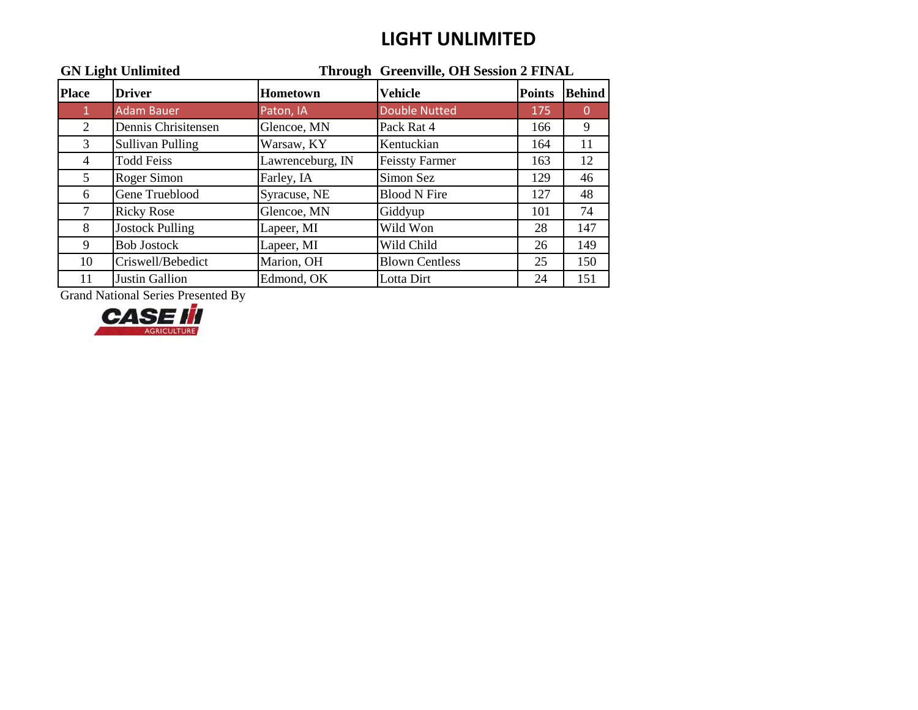## **LIGHT UNLIMITED**

| <b>GN Light Unlimited</b> |                         |                  | Through Greenville, OH Session 2 FINAL |               |               |  |
|---------------------------|-------------------------|------------------|----------------------------------------|---------------|---------------|--|
| <b>Place</b>              | <b>Driver</b>           | <b>Hometown</b>  | <b>Vehicle</b>                         | <b>Points</b> | <b>Behind</b> |  |
| 1                         | <b>Adam Bauer</b>       | Paton, IA        | <b>Double Nutted</b>                   | 175           | $\mathbf 0$   |  |
| 2                         | Dennis Chrisitensen     | Glencoe, MN      | Pack Rat 4                             | 166           | 9             |  |
| 3                         | <b>Sullivan Pulling</b> | Warsaw, KY       | Kentuckian                             | 164           | 11            |  |
| 4                         | <b>Todd Feiss</b>       | Lawrenceburg, IN | <b>Feissty Farmer</b>                  | 163           | 12            |  |
| 5                         | Roger Simon             | Farley, IA       | Simon Sez                              | 129           | 46            |  |
| 6                         | Gene Trueblood          | Syracuse, NE     | <b>Blood N Fire</b>                    | 127           | 48            |  |
| 7                         | <b>Ricky Rose</b>       | Glencoe, MN      | Giddyup                                | 101           | 74            |  |
| 8                         | <b>Jostock Pulling</b>  | Lapeer, MI       | Wild Won                               | 28            | 147           |  |
| 9                         | <b>Bob Jostock</b>      | Lapeer, MI       | Wild Child                             | 26            | 149           |  |
| 10                        | Criswell/Bebedict       | Marion, OH       | <b>Blown Centless</b>                  | 25            | 150           |  |
| 11                        | Justin Gallion          | Edmond, OK       | Lotta Dirt                             | 24            | 151           |  |

Grand National Series Presented By

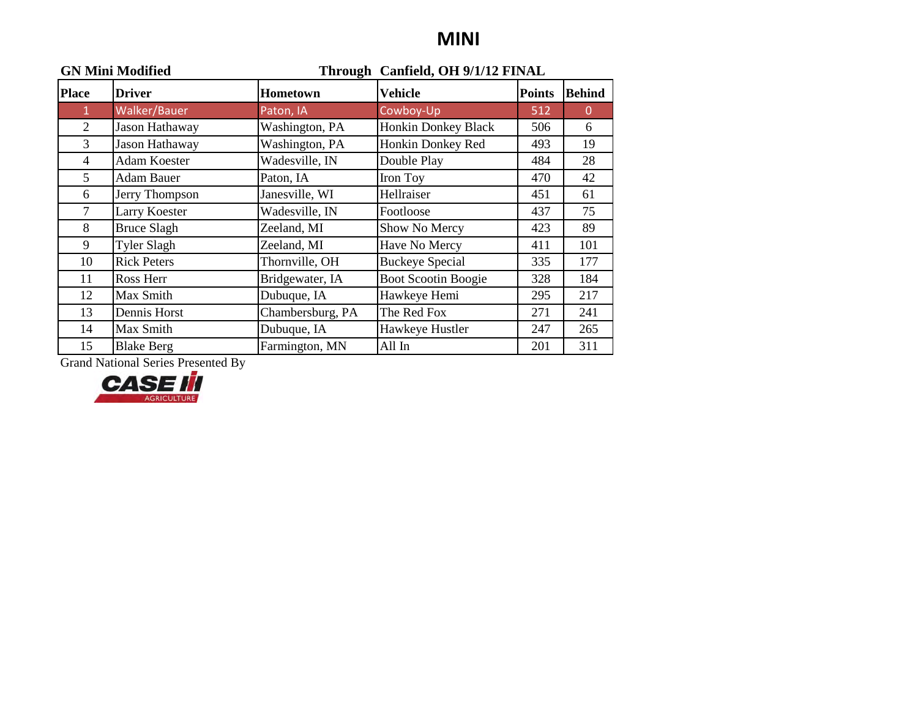### **MINI**

| <b>GN Mini Modified</b> |                     |                  | Through Canfield, OH 9/1/12 FINAL |               |               |
|-------------------------|---------------------|------------------|-----------------------------------|---------------|---------------|
| <b>Place</b>            | <b>Driver</b>       | <b>Hometown</b>  | Vehicle                           | <b>Points</b> | <b>Behind</b> |
| $\mathbf{1}$            | Walker/Bauer        | Paton, IA        | Cowboy-Up                         | 512           | $\Omega$      |
| $\overline{2}$          | Jason Hathaway      | Washington, PA   | Honkin Donkey Black               | 506           | 6             |
| 3                       | Jason Hathaway      | Washington, PA   | Honkin Donkey Red                 | 493           | 19            |
| 4                       | <b>Adam Koester</b> | Wadesville, IN   | Double Play                       | 484           | 28            |
| 5                       | <b>Adam Bauer</b>   | Paton, IA        | Iron Toy                          | 470           | 42            |
| 6                       | Jerry Thompson      | Janesville, WI   | Hellraiser                        | 451           | 61            |
| $\tau$                  | Larry Koester       | Wadesville, IN   | Footloose                         | 437           | 75            |
| 8                       | <b>Bruce Slagh</b>  | Zeeland, MI      | Show No Mercy                     | 423           | 89            |
| 9                       | <b>Tyler Slagh</b>  | Zeeland, MI      | Have No Mercy                     | 411           | 101           |
| 10                      | <b>Rick Peters</b>  | Thornville, OH   | <b>Buckeye Special</b>            | 335           | 177           |
| 11                      | Ross Herr           | Bridgewater, IA  | <b>Boot Scootin Boogie</b>        | 328           | 184           |
| 12                      | Max Smith           | Dubuque, IA      | Hawkeye Hemi                      | 295           | 217           |
| 13                      | Dennis Horst        | Chambersburg, PA | The Red Fox                       | 271           | 241           |
| 14                      | Max Smith           | Dubuque, IA      | Hawkeye Hustler                   | 247           | 265           |
| 15                      | <b>Blake Berg</b>   | Farmington, MN   | All In                            | 201           | 311           |

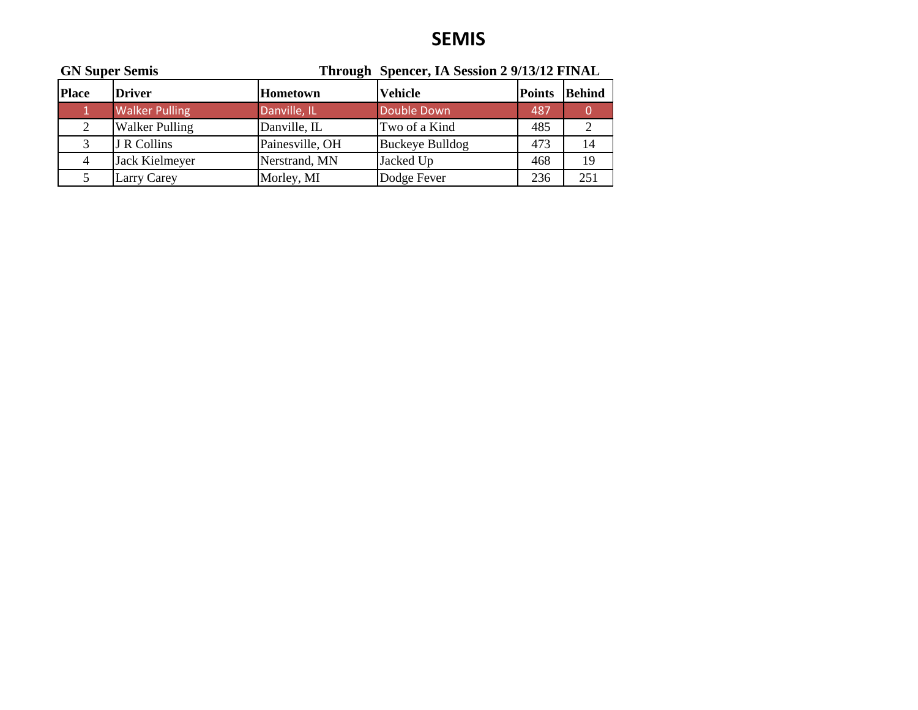## **SEMIS**

| <b>GN Super Semis</b> |                       | Through Spencer, IA Session 2 9/13/12 FINAL |                        |               |               |  |
|-----------------------|-----------------------|---------------------------------------------|------------------------|---------------|---------------|--|
| <b>Place</b>          | <b>Driver</b>         | <b>Hometown</b>                             | <b>Vehicle</b>         | <b>Points</b> | <b>Behind</b> |  |
|                       | <b>Walker Pulling</b> | Danville, IL                                | Double Down            | 487           |               |  |
| 2                     | <b>Walker Pulling</b> | Danville, IL                                | Two of a Kind          | 485           | 2             |  |
| 3                     | J R Collins           | Painesville, OH                             | <b>Buckeye Bulldog</b> | 473           | 14            |  |
| 4                     | Jack Kielmeyer        | Nerstrand, MN                               | Jacked Up              | 468           | 19            |  |
|                       | Larry Carey           | Morley, MI                                  | Dodge Fever            | 236           | 251           |  |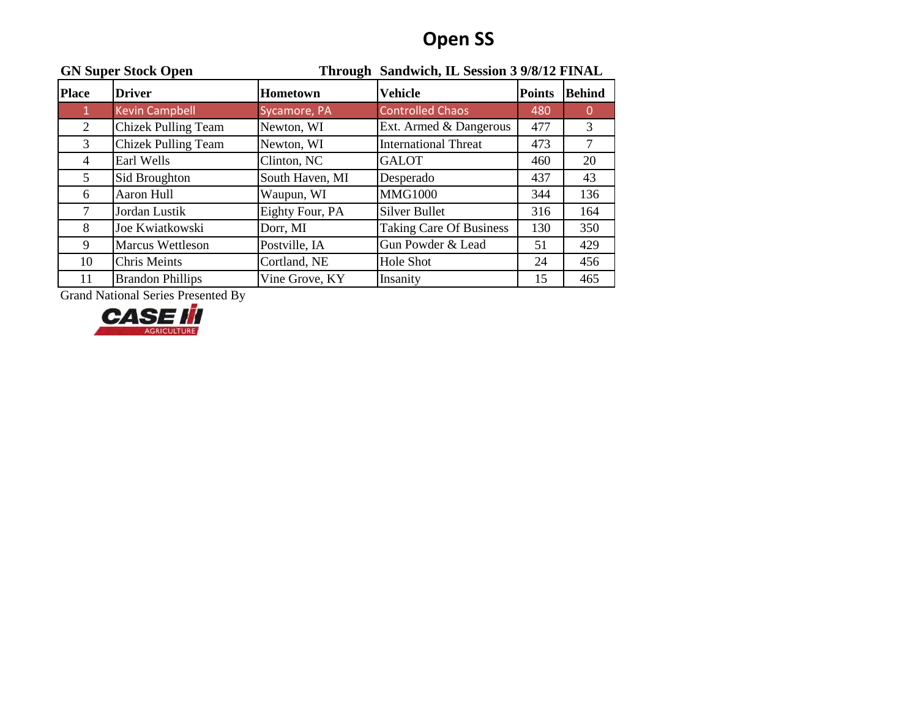# **Open SS**

| <b>GN Super Stock Open</b> |                            |                 | Through Sandwich, IL Session 3 9/8/12 FINAL |               |               |  |
|----------------------------|----------------------------|-----------------|---------------------------------------------|---------------|---------------|--|
| <b>Place</b>               | <b>Driver</b>              | <b>Hometown</b> | <b>Vehicle</b>                              | <b>Points</b> | <b>Behind</b> |  |
|                            | <b>Kevin Campbell</b>      | Sycamore, PA    | <b>Controlled Chaos</b>                     | 480           | 0             |  |
| 2                          | <b>Chizek Pulling Team</b> | Newton, WI      | Ext. Armed & Dangerous                      | 477           | 3             |  |
| 3                          | <b>Chizek Pulling Team</b> | Newton, WI      | <b>International Threat</b>                 | 473           | 7             |  |
| 4                          | Earl Wells                 | Clinton, NC     | <b>GALOT</b>                                | 460           | 20            |  |
| 5                          | Sid Broughton              | South Haven, MI | Desperado                                   | 437           | 43            |  |
| 6                          | Aaron Hull                 | Waupun, WI      | <b>MMG1000</b>                              | 344           | 136           |  |
|                            | Jordan Lustik              | Eighty Four, PA | <b>Silver Bullet</b>                        | 316           | 164           |  |
| 8                          | Joe Kwiatkowski            | Dorr, MI        | <b>Taking Care Of Business</b>              | 130           | 350           |  |
| 9                          | <b>Marcus Wettleson</b>    | Postville, IA   | Gun Powder & Lead                           | 51            | 429           |  |
| 10                         | <b>Chris Meints</b>        | Cortland, NE    | Hole Shot                                   | 24            | 456           |  |
| 11                         | <b>Brandon Phillips</b>    | Vine Grove, KY  | Insanity                                    | 15            | 465           |  |

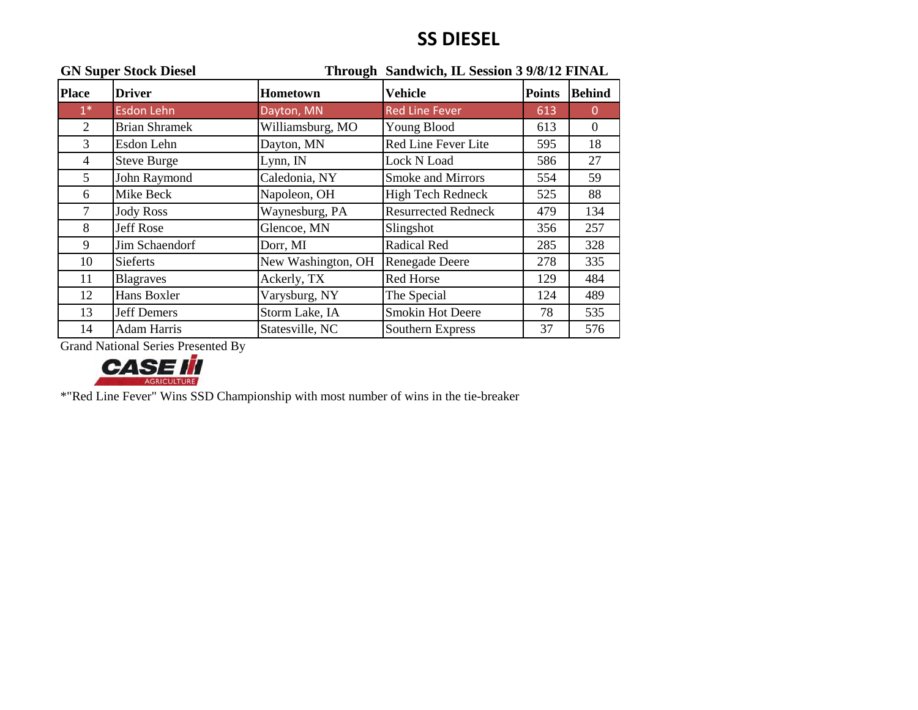## **SS DIESEL**

| <b>GN Super Stock Diesel</b> |                      | Through Sandwich, IL Session 3 9/8/12 FINAL |                            |               |               |
|------------------------------|----------------------|---------------------------------------------|----------------------------|---------------|---------------|
| <b>Place</b>                 | <b>Driver</b>        | Hometown                                    | <b>Vehicle</b>             | <b>Points</b> | <b>Behind</b> |
| $1^*$                        | <b>Esdon Lehn</b>    | Dayton, MN                                  | <b>Red Line Fever</b>      | 613           | $\Omega$      |
| $\overline{2}$               | <b>Brian Shramek</b> | Williamsburg, MO                            | Young Blood                | 613           | $\theta$      |
| 3                            | Esdon Lehn           | Dayton, MN                                  | Red Line Fever Lite        | 595           | 18            |
| 4                            | <b>Steve Burge</b>   | Lynn, IN                                    | Lock N Load                | 586           | 27            |
| $5^{\circ}$                  | John Raymond         | Caledonia, NY                               | <b>Smoke and Mirrors</b>   | 554           | 59            |
| 6                            | Mike Beck            | Napoleon, OH                                | High Tech Redneck          | 525           | 88            |
| 7                            | <b>Jody Ross</b>     | Waynesburg, PA                              | <b>Resurrected Redneck</b> | 479           | 134           |
| 8                            | Jeff Rose            | Glencoe, MN                                 | Slingshot                  | 356           | 257           |
| 9                            | Jim Schaendorf       | Dorr, MI                                    | Radical Red                | 285           | 328           |
| 10                           | <b>Sieferts</b>      | New Washington, OH                          | Renegade Deere             | 278           | 335           |
| 11                           | <b>Blagraves</b>     | Ackerly, TX                                 | Red Horse                  | 129           | 484           |
| 12                           | Hans Boxler          | Varysburg, NY                               | The Special                | 124           | 489           |
| 13                           | <b>Jeff Demers</b>   | Storm Lake, IA                              | <b>Smokin Hot Deere</b>    | 78            | 535           |
| 14                           | <b>Adam Harris</b>   | Statesville, NC                             | Southern Express           | 37            | 576           |

Grand National Series Presented By



\*"Red Line Fever" Wins SSD Championship with most number of wins in the tie-breaker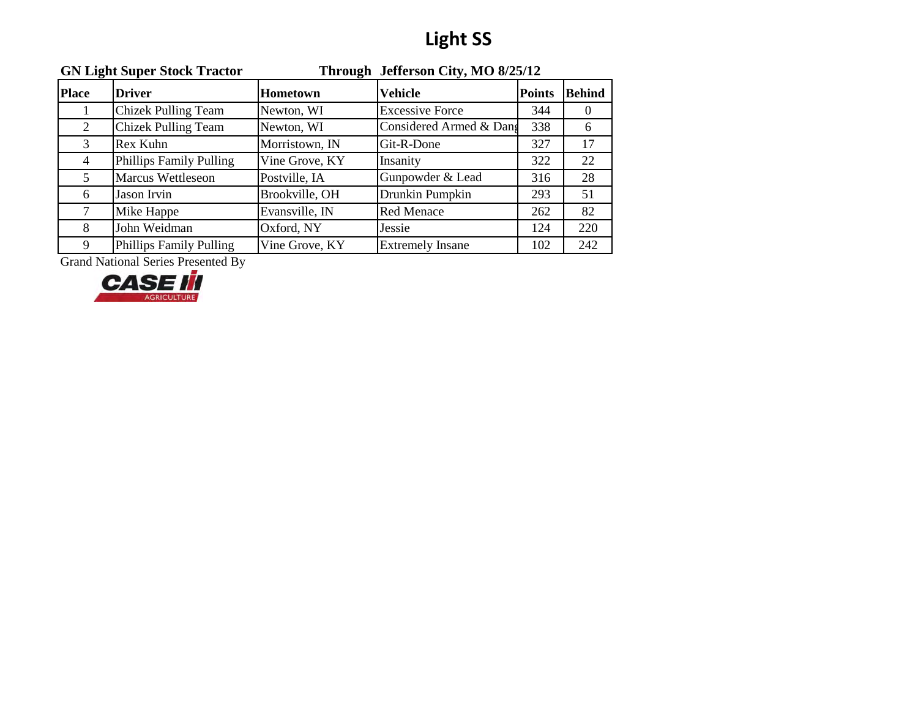# **Light SS**

| <b>GN Light Super Stock Tractor</b> |                                | Through Jefferson City, MO 8/25/12 |                         |               |               |
|-------------------------------------|--------------------------------|------------------------------------|-------------------------|---------------|---------------|
| <b>Place</b>                        | <b>Driver</b>                  | <b>Hometown</b>                    | <b>Vehicle</b>          | <b>Points</b> | <b>Behind</b> |
|                                     | <b>Chizek Pulling Team</b>     | Newton, WI                         | <b>Excessive Force</b>  | 344           | $\theta$      |
| 2                                   | <b>Chizek Pulling Team</b>     | Newton, WI                         | Considered Armed & Dang | 338           | 6             |
| 3                                   | Rex Kuhn                       | Morristown, IN                     | Git-R-Done              | 327           | 17            |
| 4                                   | <b>Phillips Family Pulling</b> | Vine Grove, KY                     | Insanity                | 322           | 22            |
| 5                                   | Marcus Wettleseon              | Postville, IA                      | Gunpowder & Lead        | 316           | 28            |
| 6                                   | Jason Irvin                    | Brookville, OH                     | Drunkin Pumpkin         | 293           | 51            |
| 7                                   | Mike Happe                     | Evansville, IN                     | <b>Red Menace</b>       | 262           | 82            |
| 8                                   | John Weidman                   | Oxford, NY                         | Jessie                  | 124           | 220           |
| 9                                   | <b>Phillips Family Pulling</b> | Vine Grove, KY                     | <b>Extremely Insane</b> | 102           | 242           |

Grand National Series Presented By<br> **CASE III** 

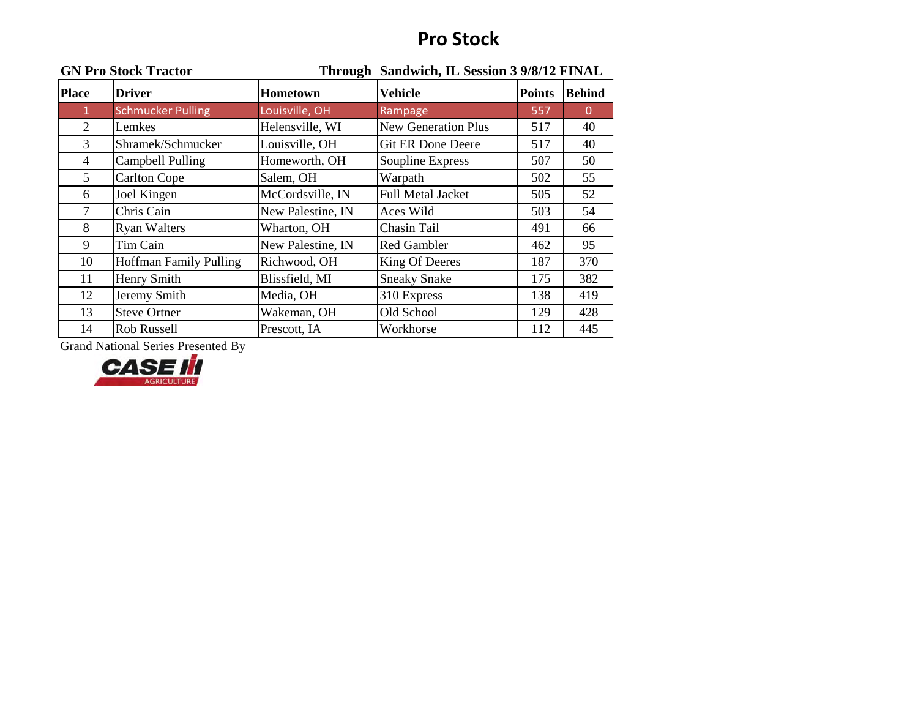## **Pro Stock**

| <b>GN Pro Stock Tractor</b> |                               | Through Sandwich, IL Session 3 9/8/12 FINAL |                            |               |               |
|-----------------------------|-------------------------------|---------------------------------------------|----------------------------|---------------|---------------|
| <b>Place</b>                | <b>Driver</b>                 | <b>Hometown</b>                             | <b>Vehicle</b>             | <b>Points</b> | <b>Behind</b> |
| $\mathbf{1}$                | <b>Schmucker Pulling</b>      | Louisville, OH                              | Rampage                    | 557           | $\Omega$      |
| 2                           | Lemkes                        | Helensville, WI                             | <b>New Generation Plus</b> | 517           | 40            |
| 3                           | Shramek/Schmucker             | Louisville, OH                              | <b>Git ER Done Deere</b>   | 517           | 40            |
| 4                           | Campbell Pulling              | Homeworth, OH                               | Soupline Express           | 507           | 50            |
| 5                           | <b>Carlton Cope</b>           | Salem, OH                                   | Warpath                    | 502           | 55            |
| 6                           | Joel Kingen                   | McCordsville, IN                            | <b>Full Metal Jacket</b>   | 505           | 52            |
| $\tau$                      | Chris Cain                    | New Palestine, IN                           | Aces Wild                  | 503           | 54            |
| 8                           | <b>Ryan Walters</b>           | Wharton, OH                                 | Chasin Tail                | 491           | 66            |
| 9                           | Tim Cain                      | New Palestine, IN                           | <b>Red Gambler</b>         | 462           | 95            |
| 10                          | <b>Hoffman Family Pulling</b> | Richwood, OH                                | King Of Deeres             | 187           | 370           |
| 11                          | Henry Smith                   | Blissfield, MI                              | <b>Sneaky Snake</b>        | 175           | 382           |
| 12                          | Jeremy Smith                  | Media, OH                                   | 310 Express                | 138           | 419           |
| 13                          | <b>Steve Ortner</b>           | Wakeman, OH                                 | Old School                 | 129           | 428           |
| 14                          | Rob Russell                   | Prescott, IA                                | Workhorse                  | 112           | 445           |

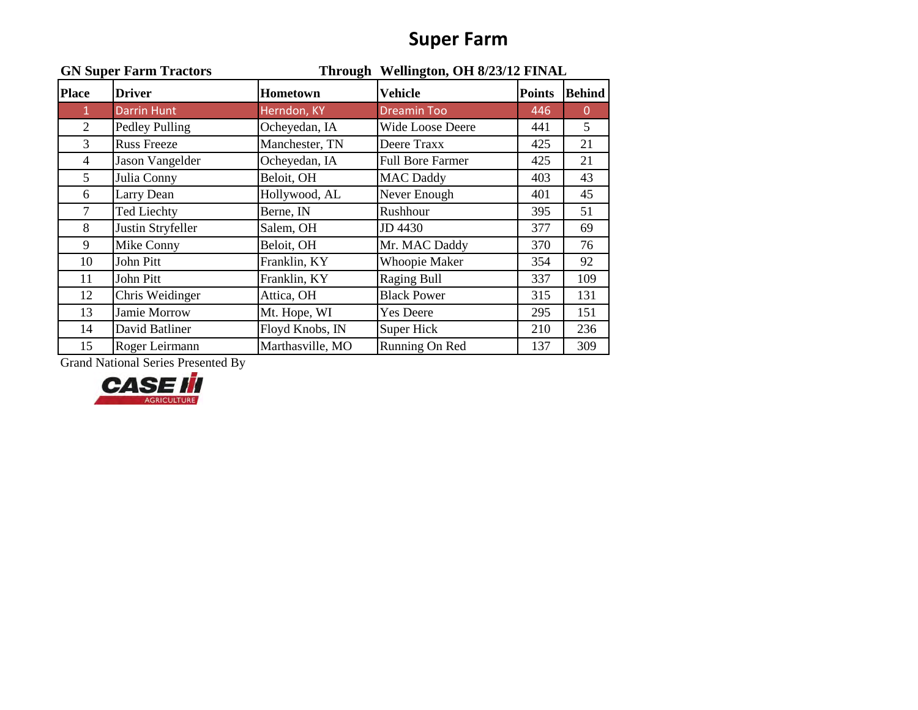## **Super Farm**

| <b>GN Super Farm Tractors</b> |                    |                  | Through Wellington, OH 8/23/12 FINAL |               |               |
|-------------------------------|--------------------|------------------|--------------------------------------|---------------|---------------|
| <b>Place</b>                  | <b>Driver</b>      | <b>Hometown</b>  | <b>Vehicle</b>                       | <b>Points</b> | <b>Behind</b> |
| $\mathbf{1}$                  | <b>Darrin Hunt</b> | Herndon, KY      | <b>Dreamin Too</b>                   | 446           | $\theta$      |
| 2                             | Pedley Pulling     | Ocheyedan, IA    | Wide Loose Deere                     | 441           | 5             |
| 3                             | <b>Russ Freeze</b> | Manchester, TN   | Deere Traxx                          | 425           | 21            |
| 4                             | Jason Vangelder    | Ocheyedan, IA    | <b>Full Bore Farmer</b>              | 425           | 21            |
| 5                             | Julia Conny        | Beloit, OH       | <b>MAC Daddy</b>                     | 403           | 43            |
| 6                             | Larry Dean         | Hollywood, AL    | Never Enough                         | 401           | 45            |
| $\tau$                        | <b>Ted Liechty</b> | Berne, IN        | Rushhour                             | 395           | 51            |
| 8                             | Justin Stryfeller  | Salem, OH        | JD 4430                              | 377           | 69            |
| 9                             | Mike Conny         | Beloit, OH       | Mr. MAC Daddy                        | 370           | 76            |
| 10                            | John Pitt          | Franklin, KY     | <b>Whoopie Maker</b>                 | 354           | 92            |
| 11                            | John Pitt          | Franklin, KY     | <b>Raging Bull</b>                   | 337           | 109           |
| 12                            | Chris Weidinger    | Attica, OH       | <b>Black Power</b>                   | 315           | 131           |
| 13                            | Jamie Morrow       | Mt. Hope, WI     | <b>Yes Deere</b>                     | 295           | 151           |
| 14                            | David Batliner     | Floyd Knobs, IN  | <b>Super Hick</b>                    | 210           | 236           |
| 15                            | Roger Leirmann     | Marthasville, MO | Running On Red                       | 137           | 309           |

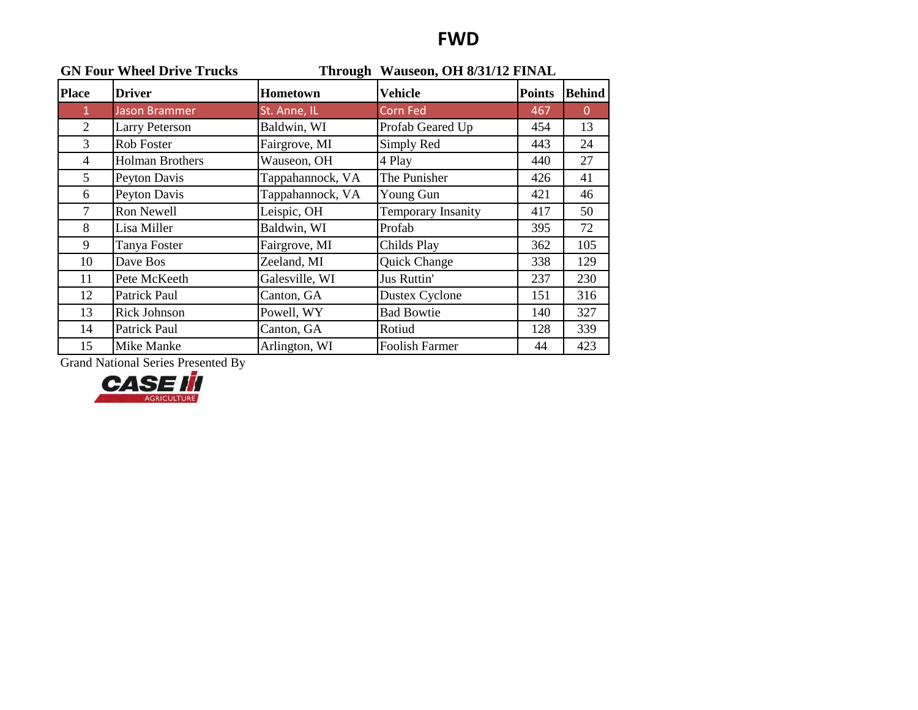### **FWD**

| <b>GN Four Wheel Drive Trucks</b> |                        | Through Wauseon, OH 8/31/12 FINAL |                           |               |                |
|-----------------------------------|------------------------|-----------------------------------|---------------------------|---------------|----------------|
| <b>Place</b>                      | <b>Driver</b>          | <b>Hometown</b>                   | <b>Vehicle</b>            | <b>Points</b> | <b>Behind</b>  |
| $\mathbf{1}$                      | <b>Jason Brammer</b>   | St. Anne, IL                      | Corn Fed                  | 467           | $\overline{0}$ |
| 2                                 | <b>Larry Peterson</b>  | Baldwin, WI                       | Profab Geared Up          | 454           | 13             |
| $\overline{3}$                    | Rob Foster             | Fairgrove, MI                     | Simply Red                | 443           | 24             |
| $\overline{4}$                    | <b>Holman Brothers</b> | Wauseon, OH                       | 4 Play                    | 440           | 27             |
| 5                                 | Peyton Davis           | Tappahannock, VA                  | The Punisher              | 426           | 41             |
| 6                                 | Peyton Davis           | Tappahannock, VA                  | Young Gun                 | 421           | 46             |
| $\tau$                            | Ron Newell             | Leispic, OH                       | <b>Temporary Insanity</b> | 417           | 50             |
| 8                                 | Lisa Miller            | Baldwin, WI                       | Profab                    | 395           | 72             |
| 9                                 | Tanya Foster           | Fairgrove, MI                     | Childs Play               | 362           | 105            |
| 10                                | Dave Bos               | Zeeland, MI                       | Quick Change              | 338           | 129            |
| 11                                | Pete McKeeth           | Galesville, WI                    | Jus Ruttin'               | 237           | 230            |
| 12                                | Patrick Paul           | Canton, GA                        | <b>Dustex Cyclone</b>     | 151           | 316            |
| 13                                | <b>Rick Johnson</b>    | Powell, WY                        | <b>Bad Bowtie</b>         | 140           | 327            |
| 14                                | Patrick Paul           | Canton, GA                        | Rotiud                    | 128           | 339            |
| 15                                | Mike Manke             | Arlington, WI                     | Foolish Farmer            | 44            | 423            |

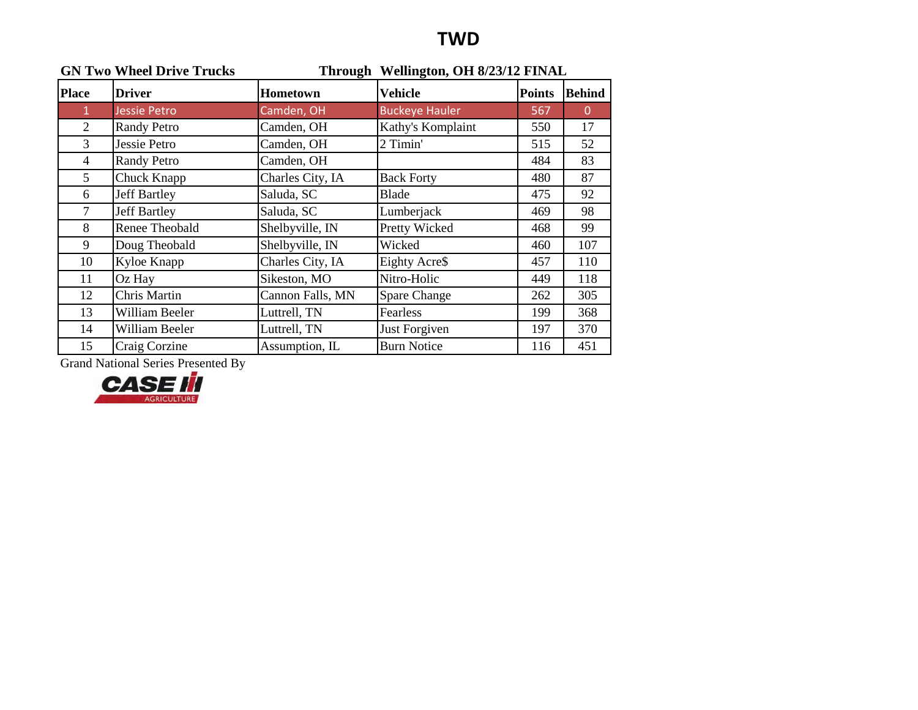### **TWD**

|                | <b>GN Two Wheel Drive Trucks</b> |                  | Through Wellington, OH 8/23/12 FINAL |               |               |
|----------------|----------------------------------|------------------|--------------------------------------|---------------|---------------|
| <b>Place</b>   | <b>Driver</b>                    | <b>Hometown</b>  | <b>Vehicle</b>                       | <b>Points</b> | <b>Behind</b> |
| $\mathbf{1}$   | <b>Jessie Petro</b>              | Camden, OH       | <b>Buckeye Hauler</b>                | 567           | $\theta$      |
| 2              | <b>Randy Petro</b>               | Camden, OH       | Kathy's Komplaint                    | 550           | 17            |
| 3              | Jessie Petro                     | Camden, OH       | 2 Timin'                             | 515           | 52            |
| $\overline{4}$ | <b>Randy Petro</b>               | Camden, OH       |                                      | 484           | 83            |
| $5^{\circ}$    | Chuck Knapp                      | Charles City, IA | <b>Back Forty</b>                    | 480           | 87            |
| 6              | <b>Jeff Bartley</b>              | Saluda, SC       | Blade                                | 475           | 92            |
| $\overline{7}$ | <b>Jeff Bartley</b>              | Saluda, SC       | Lumberjack                           | 469           | 98            |
| 8              | Renee Theobald                   | Shelbyville, IN  | Pretty Wicked                        | 468           | 99            |
| 9              | Doug Theobald                    | Shelbyville, IN  | Wicked                               | 460           | 107           |
| 10             | Kyloe Knapp                      | Charles City, IA | Eighty Acre\$                        | 457           | 110           |
| 11             | Oz Hay                           | Sikeston, MO     | Nitro-Holic                          | 449           | 118           |
| 12             | Chris Martin                     | Cannon Falls, MN | <b>Spare Change</b>                  | 262           | 305           |
| 13             | William Beeler                   | Luttrell, TN     | Fearless                             | 199           | 368           |
| 14             | William Beeler                   | Luttrell, TN     | Just Forgiven                        | 197           | 370           |
| 15             | Craig Corzine                    | Assumption, IL   | <b>Burn Notice</b>                   | 116           | 451           |

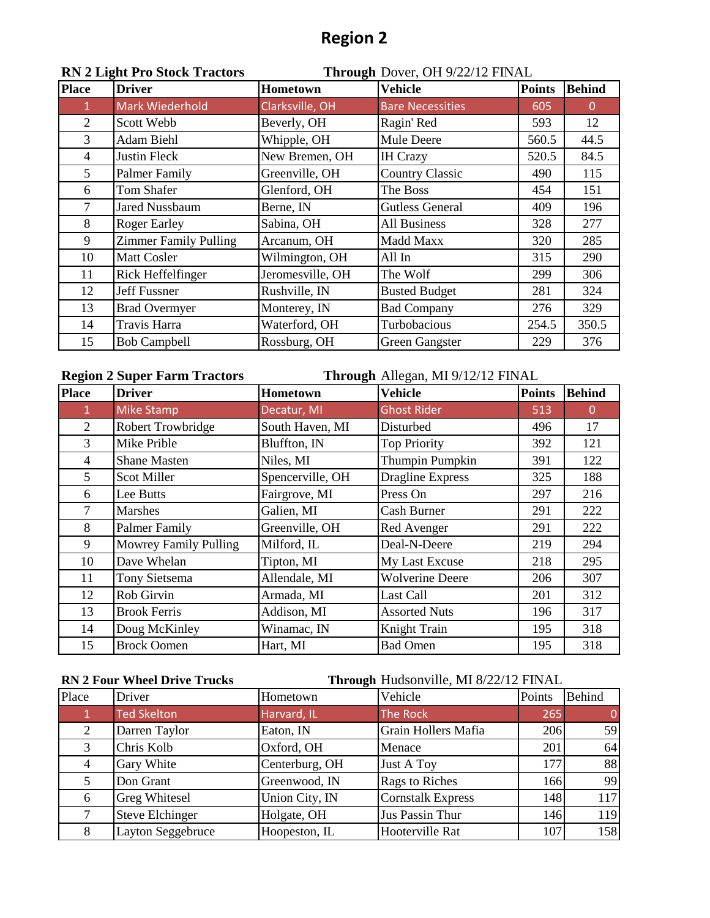| <b>Place</b>   | <b>Driver</b>                | Hometown         | <b>Vehicle</b>          | <b>Points</b> | <b>Behind</b> |
|----------------|------------------------------|------------------|-------------------------|---------------|---------------|
|                | <b>Mark Wiederhold</b>       | Clarksville, OH  | <b>Bare Necessities</b> | 605           | $\Omega$      |
| $\overline{2}$ | Scott Webb                   | Beverly, OH      | Ragin' Red              | 593           | 12            |
| $\overline{3}$ | Adam Biehl                   | Whipple, OH      | Mule Deere              | 560.5         | 44.5          |
| $\overline{4}$ | Justin Fleck                 | New Bremen, OH   | <b>IH Crazy</b>         | 520.5         | 84.5          |
| 5              | Palmer Family                | Greenville, OH   | <b>Country Classic</b>  | 490           | 115           |
| 6              | Tom Shafer                   | Glenford, OH     | The Boss                | 454           | 151           |
| 7              | <b>Jared Nussbaum</b>        | Berne, IN        | <b>Gutless General</b>  | 409           | 196           |
| 8              | <b>Roger Earley</b>          | Sabina, OH       | <b>All Business</b>     | 328           | 277           |
| 9              | <b>Zimmer Family Pulling</b> | Arcanum, OH      | Madd Maxx               | 320           | 285           |
| 10             | <b>Matt Cosler</b>           | Wilmington, OH   | All In                  | 315           | 290           |
| 11             | Rick Heffelfinger            | Jeromesville, OH | The Wolf                | 299           | 306           |
| 12             | <b>Jeff Fussner</b>          | Rushville, IN    | <b>Busted Budget</b>    | 281           | 324           |
| 13             | <b>Brad Overmyer</b>         | Monterey, IN     | <b>Bad Company</b>      | 276           | 329           |
| 14             | Travis Harra                 | Waterford, OH    | Turbobacious            | 254.5         | 350.5         |
| 15             | <b>Bob Campbell</b>          | Rossburg, OH     | <b>Green Gangster</b>   | 229           | 376           |

### **RN 2 Light Pro Stock Tractors Through** Dover, OH 9/22/12 FINAL

#### **Region 2 Super Farm Tractors Through** Allegan, MI 9/12/12 FINAL **Place Driver Hometown Vehicle Points Behind** 1 Mike Stamp Decatur, MI Ghost Rider 513 0 2 Robert Trowbridge South Haven, MI Disturbed 496 17 3 Mike Prible Bluffton, IN Top Priority | 392 | 121 4 Shane Masten Niles, MI Thumpin Pumpkin 391 122 5 Scot Miller Spencerville, OH Dragline Express 1 325 188 6 Lee Butts Fairgrove, MI Press On 297 216 7 Marshes Galien, MI Cash Burner 291 222 8 Palmer Family Greenville, OH Red Avenger 291 222 9 Mowrey Family Pulling Milford, IL Deal-N-Deere 219 294 10 Dave Whelan Tipton, MI My Last Excuse 218 295 11 Tony Sietsema Allendale, MI Wolverine Deere | 206 | 307 12 Rob Girvin Armada, MI Last Call 201 312 13 Brook Ferris Addison, MI Assorted Nuts 196 317 14 Doug McKinley Winamac, IN Knight Train 195 318 15 Brock Oomen Hart, MI Bad Omen 195 318

**RN 2 Four Wheel Drive Trucks Through** Hudsonville, MI 8/22/12 FINAL

| Place | Driver               | Hometown       | Vehicle                  | Points | Behind   |
|-------|----------------------|----------------|--------------------------|--------|----------|
| 1     | <b>Ted Skelton</b>   | Harvard, IL    | The Rock                 | 265    | $\Omega$ |
| 2     | Darren Taylor        | Eaton, IN      | Grain Hollers Mafia      | 206    | 59       |
| 3     | Chris Kolb           | Oxford, OH     | Menace                   | 201    | 64       |
|       | Gary White           | Centerburg, OH | <b>Just A Toy</b>        | 177    | 88       |
| 5     | Don Grant            | Greenwood, IN  | Rags to Riches           | 166    | 99       |
| 6     | <b>Greg Whitesel</b> | Union City, IN | <b>Cornstalk Express</b> | 148    | 117      |
| 7     | Steve Elchinger      | Holgate, OH    | Jus Passin Thur          | 146    | 119      |
| 8     | Layton Seggebruce    | Hoopeston, IL  | Hooterville Rat          | 107    | 158      |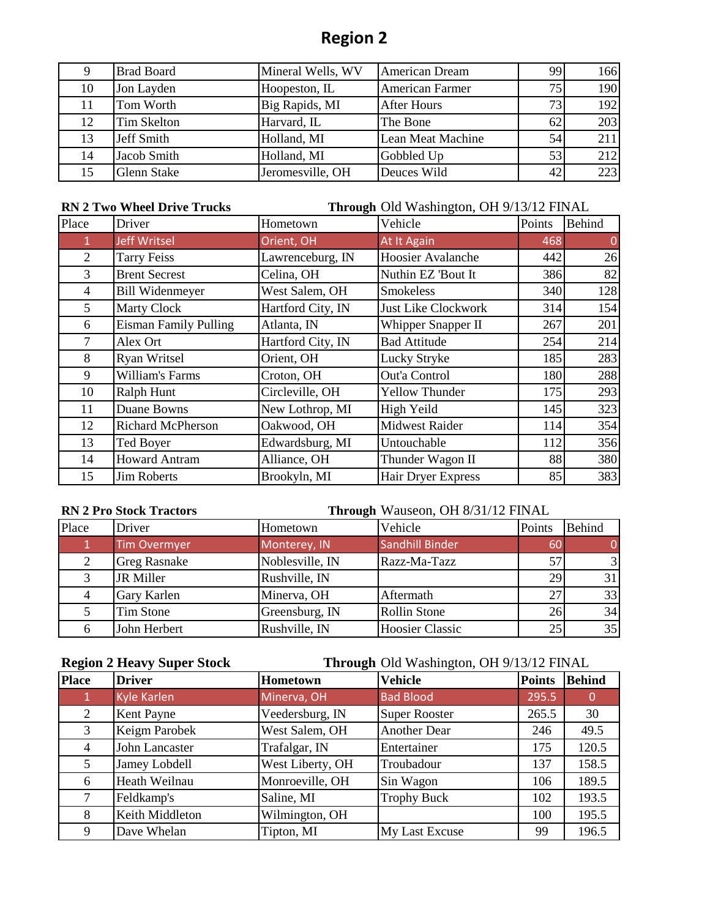| 9  | <b>Brad Board</b>  | Mineral Wells, WV | <b>American Dream</b>  | 99 | 166 |
|----|--------------------|-------------------|------------------------|----|-----|
| 10 | Jon Layden         | Hoopeston, IL     | <b>American Farmer</b> | 75 | 190 |
| 11 | Tom Worth          | Big Rapids, MI    | <b>After Hours</b>     | 73 | 192 |
| 12 | Tim Skelton        | Harvard, IL       | The Bone               | 62 | 203 |
| 13 | Jeff Smith         | Holland, MI       | Lean Meat Machine      | 54 | 211 |
| 14 | Jacob Smith        | Holland, MI       | Gobbled Up             | 53 | 212 |
| 15 | <b>Glenn Stake</b> | Jeromesville, OH  | Deuces Wild            | 42 | 223 |

**RN 2 Two Wheel Drive Trucks Through** Old Washington, OH 9/13/12 FINAL

| Place | Driver                       | Hometown          | Vehicle                    | Points | <b>Behind</b> |
|-------|------------------------------|-------------------|----------------------------|--------|---------------|
|       | <b>Jeff Writsel</b>          | Orient, OH        | At It Again                | 468    |               |
| 2     | <b>Tarry Feiss</b>           | Lawrenceburg, IN  | Hoosier Avalanche          | 442    | 26            |
| 3     | <b>Brent Secrest</b>         | Celina, OH        | Nuthin EZ 'Bout It         | 386    | 82            |
| 4     | <b>Bill Widenmeyer</b>       | West Salem, OH    | <b>Smokeless</b>           | 340    | 128           |
| 5     | <b>Marty Clock</b>           | Hartford City, IN | <b>Just Like Clockwork</b> | 314    | 154           |
| 6     | <b>Eisman Family Pulling</b> | Atlanta, IN       | Whipper Snapper II         | 267    | 201           |
| 7     | Alex Ort                     | Hartford City, IN | <b>Bad Attitude</b>        | 254    | 214           |
| 8     | <b>Ryan Writsel</b>          | Orient, OH        | Lucky Stryke               | 185    | 283           |
| 9     | William's Farms              | Croton, OH        | Out'a Control              | 180    | 288           |
| 10    | Ralph Hunt                   | Circleville, OH   | <b>Yellow Thunder</b>      | 175    | 293           |
| 11    | Duane Bowns                  | New Lothrop, MI   | High Yeild                 | 145    | 323           |
| 12    | <b>Richard McPherson</b>     | Oakwood, OH       | <b>Midwest Raider</b>      | 114    | 354           |
| 13    | Ted Boyer                    | Edwardsburg, MI   | Untouchable                | 112    | 356           |
| 14    | <b>Howard Antram</b>         | Alliance, OH      | Thunder Wagon II           | 88     | 380           |
| 15    | <b>Jim Roberts</b>           | Brookyln, MI      | Hair Dryer Express         | 85     | 383           |

**RN 2 Pro Stock Tractors Through** Wauseon, OH 8/31/12 FINAL

| Place | Driver              | Hometown        | Vehicle                | Points | <b>Behind</b>  |
|-------|---------------------|-----------------|------------------------|--------|----------------|
|       | Tim Overmyer        | Monterey, IN    | Sandhill Binder        | 60     |                |
| 2     | <b>Greg Rasnake</b> | Noblesville, IN | Razz-Ma-Tazz           | 57     | $\mathfrak{Z}$ |
|       | JR Miller           | Rushville, IN   |                        | 29     | 31             |
| 4     | Gary Karlen         | Minerva, OH     | Aftermath              | 27     | 33             |
|       | Tim Stone           | Greensburg, IN  | <b>Rollin Stone</b>    | 26     | 34             |
| 6     | John Herbert        | Rushville, IN   | <b>Hoosier Classic</b> | 25     | 35             |

**Region 2 Heavy Super Stock Through** Old Washington, OH 9/13/12 FINAL

| <b>Place</b>   | <b>Driver</b>      | Hometown         | Vehicle              | <b>Points</b> | <b>Behind</b> |
|----------------|--------------------|------------------|----------------------|---------------|---------------|
|                | <b>Kyle Karlen</b> | Minerva, OH      | <b>Bad Blood</b>     | 295.5         | 0             |
| $\overline{2}$ | Kent Payne         | Veedersburg, IN  | <b>Super Rooster</b> | 265.5         | 30            |
| 3              | Keigm Parobek      | West Salem, OH   | <b>Another Dear</b>  | 246           | 49.5          |
| 4              | John Lancaster     | Trafalgar, IN    | Entertainer          | 175           | 120.5         |
| 5              | Jamey Lobdell      | West Liberty, OH | Troubadour           | 137           | 158.5         |
| 6              | Heath Weilnau      | Monroeville, OH  | Sin Wagon            | 106           | 189.5         |
|                | Feldkamp's         | Saline, MI       | <b>Trophy Buck</b>   | 102           | 193.5         |
| 8              | Keith Middleton    | Wilmington, OH   |                      | 100           | 195.5         |
| 9              | Dave Whelan        | Tipton, MI       | My Last Excuse       | 99            | 196.5         |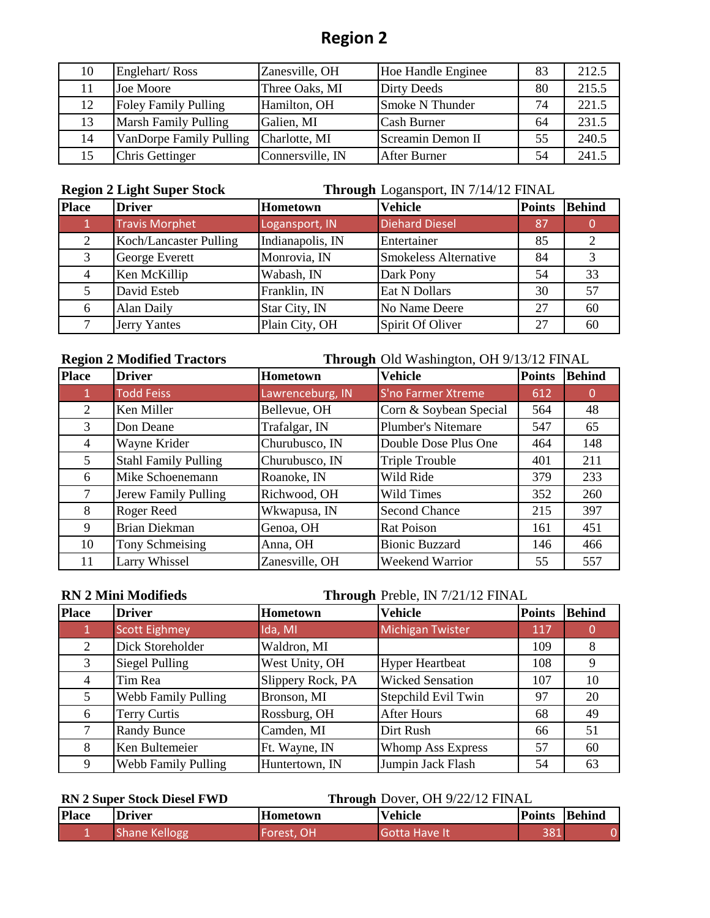| 10 | Englehart/Ross                 | Zanesville, OH   | Hoe Handle Enginee  | 83 | 212.5 |
|----|--------------------------------|------------------|---------------------|----|-------|
|    | Joe Moore                      | Three Oaks, MI   | Dirty Deeds         | 80 | 215.5 |
| 12 | Foley Family Pulling           | Hamilton, OH     | Smoke N Thunder     | 74 | 221.5 |
| 13 | <b>Marsh Family Pulling</b>    | Galien, MI       | <b>Cash Burner</b>  | 64 | 231.5 |
| 14 | <b>VanDorpe Family Pulling</b> | Charlotte, MI    | Screamin Demon II   | 55 | 240.5 |
| 15 | Chris Gettinger                | Connersville, IN | <b>After Burner</b> | 54 | 241.5 |

**Region 2 Light Super Stock Through** Logansport, IN 7/14/12 FINAL

| <b>Place</b> | <b>Driver</b>          | Hometown         | <b>Vehicle</b>               | <b>Points</b> | <b>Behind</b> |
|--------------|------------------------|------------------|------------------------------|---------------|---------------|
|              | <b>Travis Morphet</b>  | Logansport, IN   | <b>Diehard Diesel</b>        | '87           |               |
|              | Koch/Lancaster Pulling | Indianapolis, IN | Entertainer                  | 85            |               |
| 3            | George Everett         | Monrovia, IN     | <b>Smokeless Alternative</b> | 84            |               |
| 4            | Ken McKillip           | Wabash, IN       | Dark Pony                    | 54            | 33            |
|              | David Esteb            | Franklin, IN     | Eat N Dollars                | 30            | 57            |
| 6            | Alan Daily             | Star City, IN    | No Name Deere                | 27            | 60            |
|              | Jerry Yantes           | Plain City, OH   | Spirit Of Oliver             | 27            | 60            |

**Region 2 Modified Tractors Through** Old Washington, OH 9/13/12 FINAL

| <b>Place</b> | <b>Driver</b>               | Hometown         | <b>Vehicle</b>            | <b>Points</b> | <b>Behind</b> |
|--------------|-----------------------------|------------------|---------------------------|---------------|---------------|
|              | <b>Todd Feiss</b>           | Lawrenceburg, IN | S'no Farmer Xtreme        | 612           |               |
| 2            | Ken Miller                  | Bellevue, OH     | Corn & Soybean Special    | 564           | 48            |
| 3            | Don Deane                   | Trafalgar, IN    | <b>Plumber's Nitemare</b> | 547           | 65            |
| 4            | Wayne Krider                | Churubusco, IN   | Double Dose Plus One      | 464           | 148           |
| 5            | <b>Stahl Family Pulling</b> | Churubusco, IN   | <b>Triple Trouble</b>     | 401           | 211           |
| 6            | Mike Schoenemann            | Roanoke, IN      | Wild Ride                 | 379           | 233           |
|              | Jerew Family Pulling        | Richwood, OH     | Wild Times                | 352           | 260           |
| 8            | Roger Reed                  | Wkwapusa, IN     | <b>Second Chance</b>      | 215           | 397           |
| 9            | <b>Brian Diekman</b>        | Genoa, OH        | Rat Poison                | 161           | 451           |
| 10           | Tony Schmeising             | Anna, OH         | <b>Bionic Buzzard</b>     | 146           | 466           |
| 11           | Larry Whissel               | Zanesville, OH   | Weekend Warrior           | 55            | 557           |

| <b>RN 2 Mini Modifieds</b> |                      |                   | Through Preble, IN 7/21/12 FINAL |               |               |
|----------------------------|----------------------|-------------------|----------------------------------|---------------|---------------|
| <b>Place</b>               | <b>Driver</b>        | <b>Hometown</b>   | <b>Vehicle</b>                   | <b>Points</b> | <b>Behind</b> |
|                            | <b>Scott Eighmey</b> | Ida, MI           | Michigan Twister                 | 117           |               |
| 2                          | Dick Storeholder     | Waldron, MI       |                                  | 109           | 8             |
| 3                          | Siegel Pulling       | West Unity, OH    | <b>Hyper Heartbeat</b>           | 108           | 9             |
| 4                          | Tim Rea              | Slippery Rock, PA | <b>Wicked Sensation</b>          | 107           | 10            |
| 5                          | Webb Family Pulling  | Bronson, MI       | Stepchild Evil Twin              | 97            | 20            |
| 6                          | Terry Curtis         | Rossburg, OH      | <b>After Hours</b>               | 68            | 49            |
|                            | <b>Randy Bunce</b>   | Camden, MI        | Dirt Rush                        | 66            | 51            |
| 8                          | Ken Bultemeier       | Ft. Wayne, IN     | Whomp Ass Express                | 57            | 60            |
| 9                          | Webb Family Pulling  | Huntertown, IN    | Jumpin Jack Flash                | 54            | 63            |

#### **RN 2 Super Stock Diesel FWD**

**Through** Dover, OH 9/22/12 FINAL

| <b>Place</b> | <b>Driver</b> | <b>Hometown</b> | <b>Vehicle</b>       | Points | Behind |
|--------------|---------------|-----------------|----------------------|--------|--------|
|              | Shane Kellogg | Forest, OH      | <b>Gotta Have It</b> | 381    |        |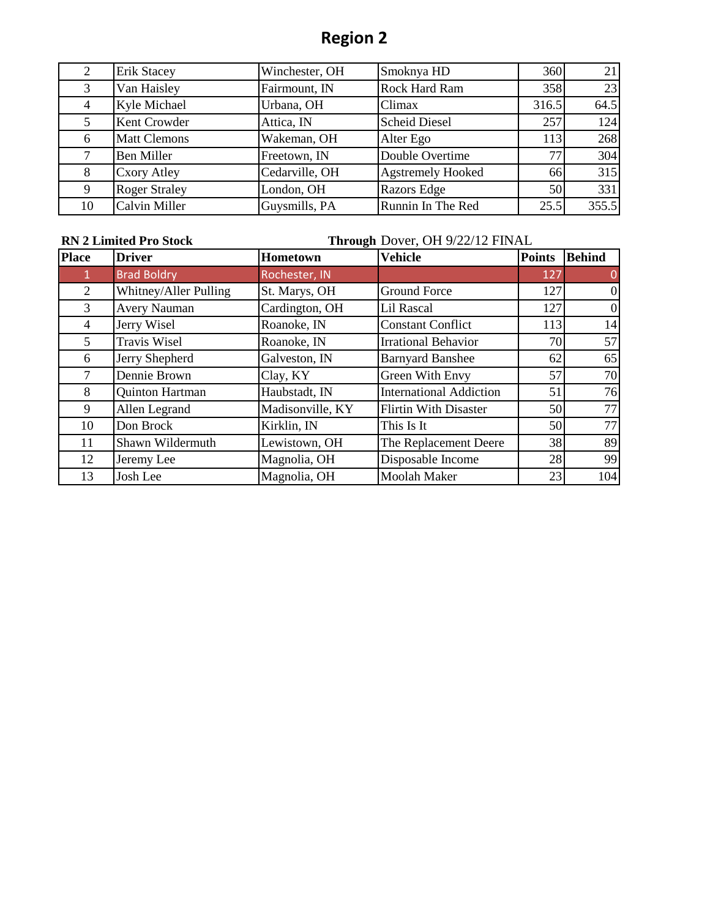| 2  | <b>Erik Stacey</b>   | Winchester, OH | Smoknya HD               | 360   | 21    |
|----|----------------------|----------------|--------------------------|-------|-------|
| 3  | Van Haisley          | Fairmount, IN  | Rock Hard Ram            | 358   | 23    |
| 4  | Kyle Michael         | Urbana, OH     | Climax                   | 316.5 | 64.5  |
| 5  | Kent Crowder         | Attica, IN     | <b>Scheid Diesel</b>     | 257   | 124   |
| 6  | <b>Matt Clemons</b>  | Wakeman, OH    | Alter Ego                | 113   | 268   |
|    | <b>Ben Miller</b>    | Freetown, IN   | Double Overtime          | 77    | 304   |
| 8  | <b>Cxory Atley</b>   | Cedarville, OH | <b>Agstremely Hooked</b> | 66    | 315   |
| 9  | <b>Roger Straley</b> | London, OH     | Razors Edge              | 50    | 331   |
| 10 | Calvin Miller        | Guysmills, PA  | Runnin In The Red        | 25.5  | 355.5 |

#### **RN 2 Limited Pro Stock**

## **Through** Dover, OH 9/22/12 FINAL

| <b>Place</b>   | <b>Driver</b>          | Hometown         | <b>Vehicle</b>                 | <b>Points</b> | <b>Behind</b> |
|----------------|------------------------|------------------|--------------------------------|---------------|---------------|
| 1              | <b>Brad Boldry</b>     | Rochester, IN    |                                | 127           | 0             |
| $\overline{2}$ | Whitney/Aller Pulling  | St. Marys, OH    | <b>Ground Force</b>            | 127           | $\mathbf{0}$  |
| 3              | <b>Avery Nauman</b>    | Cardington, OH   | Lil Rascal                     | 127           | $\Omega$      |
| 4              | Jerry Wisel            | Roanoke, IN      | <b>Constant Conflict</b>       | 113           | 14            |
| 5              | <b>Travis Wisel</b>    | Roanoke, IN      | <b>Irrational Behavior</b>     | 70            | 57            |
| 6              | Jerry Shepherd         | Galveston, IN    | <b>Barnyard Banshee</b>        | 62            | 65            |
|                | Dennie Brown           | Clay, KY         | Green With Envy                | 57            | 70            |
| 8              | <b>Quinton Hartman</b> | Haubstadt, IN    | <b>International Addiction</b> | 51            | 76            |
| 9              | Allen Legrand          | Madisonville, KY | <b>Flirtin With Disaster</b>   | 50            | 77            |
| 10             | Don Brock              | Kirklin, IN      | This Is It                     | 50            | 77            |
| 11             | Shawn Wildermuth       | Lewistown, OH    | The Replacement Deere          | 38            | 89            |
| 12             | Jeremy Lee             | Magnolia, OH     | Disposable Income              | 28            | 99            |
| 13             | Josh Lee               | Magnolia, OH     | <b>Moolah Maker</b>            | 23            | 104           |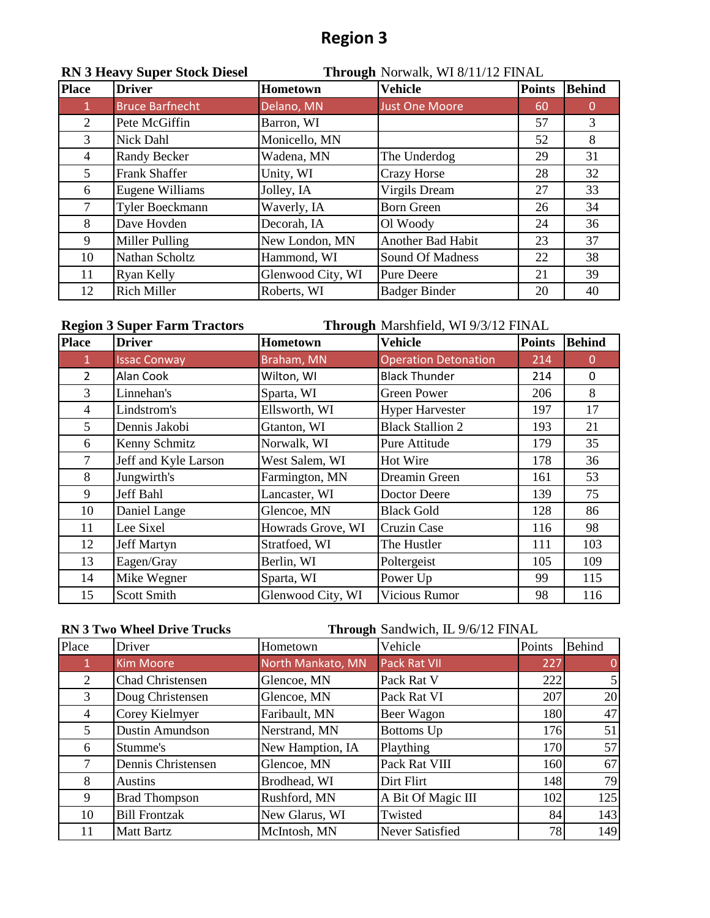|                | <b>RN 3 Heavy Super Stock Diesel</b> | Through Norwalk, WI 8/11/12 FINAL |                       |               |               |
|----------------|--------------------------------------|-----------------------------------|-----------------------|---------------|---------------|
| <b>Place</b>   | <b>Driver</b>                        | Hometown                          | <b>Vehicle</b>        | <b>Points</b> | <b>Behind</b> |
| $\mathbf{1}$   | <b>Bruce Barfnecht</b>               | Delano, MN                        | <b>Just One Moore</b> | 60            | 0             |
| $\mathfrak{2}$ | Pete McGiffin                        | Barron, WI                        |                       | 57            | 3             |
| 3              | Nick Dahl                            | Monicello, MN                     |                       | 52            | 8             |
| 4              | Randy Becker                         | Wadena, MN                        | The Underdog          | 29            | 31            |
| 5              | <b>Frank Shaffer</b>                 | Unity, WI                         | <b>Crazy Horse</b>    | 28            | 32            |
| 6              | Eugene Williams                      | Jolley, IA                        | Virgils Dream         | 27            | 33            |
|                | Tyler Boeckmann                      | Waverly, IA                       | <b>Born Green</b>     | 26            | 34            |
| 8              | Dave Hovden                          | Decorah, IA                       | Ol Woody              | 24            | 36            |
| 9              | Miller Pulling                       | New London, MN                    | Another Bad Habit     | 23            | 37            |
| 10             | Nathan Scholtz                       | Hammond, WI                       | Sound Of Madness      | 22            | 38            |
| 11             | Ryan Kelly                           | Glenwood City, WI                 | <b>Pure Deere</b>     | 21            | 39            |
| 12             | <b>Rich Miller</b>                   | Roberts, WI                       | <b>Badger Binder</b>  | 20            | 40            |

| Through Marshfield, WI 9/3/12 FINAL<br><b>Region 3 Super Farm Tractors</b> |                      |                   |                             |               |               |
|----------------------------------------------------------------------------|----------------------|-------------------|-----------------------------|---------------|---------------|
| <b>Place</b>                                                               | <b>Driver</b>        | Hometown          | <b>Vehicle</b>              | <b>Points</b> | <b>Behind</b> |
|                                                                            | <b>Issac Conway</b>  | Braham, MN        | <b>Operation Detonation</b> | 214           | $\Omega$      |
| $\overline{2}$                                                             | Alan Cook            | Wilton, WI        | <b>Black Thunder</b>        | 214           | $\Omega$      |
| 3                                                                          | Linnehan's           | Sparta, WI        | <b>Green Power</b>          | 206           | 8             |
| $\overline{4}$                                                             | Lindstrom's          | Ellsworth, WI     | <b>Hyper Harvester</b>      | 197           | 17            |
| 5                                                                          | Dennis Jakobi        | Gtanton, WI       | <b>Black Stallion 2</b>     | 193           | 21            |
| 6                                                                          | Kenny Schmitz        | Norwalk, WI       | Pure Attitude               | 179           | 35            |
| $\tau$                                                                     | Jeff and Kyle Larson | West Salem, WI    | Hot Wire                    | 178           | 36            |
| 8                                                                          | Jungwirth's          | Farmington, MN    | Dreamin Green               | 161           | 53            |
| 9                                                                          | Jeff Bahl            | Lancaster, WI     | Doctor Deere                | 139           | 75            |
| 10                                                                         | Daniel Lange         | Glencoe, MN       | <b>Black Gold</b>           | 128           | 86            |
| 11                                                                         | Lee Sixel            | Howrads Grove, WI | Cruzin Case                 | 116           | 98            |
| 12                                                                         | Jeff Martyn          | Stratfoed, WI     | The Hustler                 | 111           | 103           |
| 13                                                                         | Eagen/Gray           | Berlin, WI        | Poltergeist                 | 105           | 109           |
| 14                                                                         | Mike Wegner          | Sparta, WI        | Power Up                    | 99            | 115           |
| 15                                                                         | <b>Scott Smith</b>   | Glenwood City, WI | <b>Vicious Rumor</b>        | 98            | 116           |

**RN 3 Two Wheel Drive Trucks Through** Sandwich, IL 9/6/12 FINAL

| Place          | Driver                  | Hometown          | Vehicle            | Points | Behind         |
|----------------|-------------------------|-------------------|--------------------|--------|----------------|
| $\mathbf 1$    | <b>Kim Moore</b>        | North Mankato, MN | Pack Rat VII       | 227    | $\overline{0}$ |
| 2              | <b>Chad Christensen</b> | Glencoe, MN       | Pack Rat V         | 222    | 5              |
| 3              | Doug Christensen        | Glencoe, MN       | Pack Rat VI        | 207    | 20             |
| $\overline{4}$ | Corey Kielmyer          | Faribault, MN     | Beer Wagon         | 180    | 47             |
| 5              | Dustin Amundson         | Nerstrand, MN     | Bottoms Up         | 176    | 51             |
| 6              | Stumme's                | New Hamption, IA  | Plaything          | 170    | 57             |
| 7              | Dennis Christensen      | Glencoe, MN       | Pack Rat VIII      | 160    | 67             |
| 8              | <b>Austins</b>          | Brodhead, WI      | Dirt Flirt         | 148    | 79             |
| 9              | <b>Brad Thompson</b>    | Rushford, MN      | A Bit Of Magic III | 102    | 125            |
| 10             | <b>Bill Frontzak</b>    | New Glarus, WI    | Twisted            | 84     | 143            |
| 11             | <b>Matt Bartz</b>       | McIntosh, MN      | Never Satisfied    | 78     | 149            |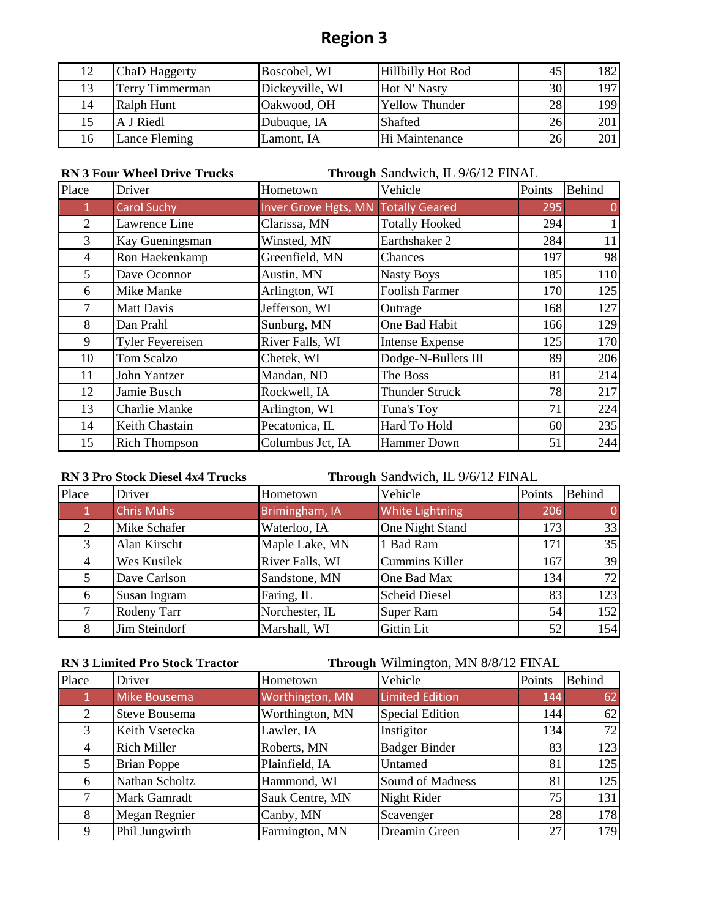| 12 | ChaD Haggerty   | Boscobel, WI    | <b>Hillbilly Hot Rod</b> | 45 | !82  |
|----|-----------------|-----------------|--------------------------|----|------|
| 13 | Terry Timmerman | Dickeyville, WI | Hot N' Nasty             | 30 | 1971 |
| 14 | Ralph Hunt      | Oakwood, OH     | <b>Yellow Thunder</b>    | 28 | 199  |
|    | A J Riedl       | Dubuque, IA     | Shafted                  | 26 | 201  |
| 16 | Lance Fleming   | Lamont, IA      | Hi Maintenance           | 26 | 201  |

**RN 3 Four Wheel Drive Trucks Through** Sandwich, IL 9/6/12 FINAL

| Place          | Driver                  | Hometown                            | Vehicle                | Points | Behind |
|----------------|-------------------------|-------------------------------------|------------------------|--------|--------|
| $\mathbf{1}$   | <b>Carol Suchy</b>      | Inver Grove Hgts, MN Totally Geared |                        | 295    |        |
| 2              | Lawrence Line           | Clarissa, MN                        | <b>Totally Hooked</b>  | 294    |        |
| $\overline{3}$ | Kay Gueningsman         | Winsted, MN                         | Earthshaker 2          | 284    | 11     |
| $\overline{4}$ | Ron Haekenkamp          | Greenfield, MN                      | Chances                | 197    | 98     |
| 5              | Dave Oconnor            | Austin, MN                          | <b>Nasty Boys</b>      | 185    | 110    |
| 6              | Mike Manke              | Arlington, WI                       | <b>Foolish Farmer</b>  | 170    | 125    |
| 7              | <b>Matt Davis</b>       | Jefferson, WI                       | Outrage                | 168    | 127    |
| 8              | Dan Prahl               | Sunburg, MN                         | One Bad Habit          | 166    | 129    |
| 9              | <b>Tyler Feyereisen</b> | River Falls, WI                     | <b>Intense Expense</b> | 125    | 170    |
| 10             | Tom Scalzo              | Chetek, WI                          | Dodge-N-Bullets III    | 89     | 206    |
| 11             | John Yantzer            | Mandan, ND                          | The Boss               | 81     | 214    |
| 12             | Jamie Busch             | Rockwell, IA                        | <b>Thunder Struck</b>  | 78     | 217    |
| 13             | <b>Charlie Manke</b>    | Arlington, WI                       | Tuna's Toy             | 71     | 224    |
| 14             | Keith Chastain          | Pecatonica, IL                      | Hard To Hold           | 60     | 235    |
| 15             | <b>Rich Thompson</b>    | Columbus Jct, IA                    | <b>Hammer Down</b>     | 51     | 244    |

**RN 3 Pro Stock Diesel 4x4 Trucks Through** Sandwich, IL 9/6/12 FINAL

| Place | Driver            | Hometown        | Vehicle                | Points | <b>Behind</b> |
|-------|-------------------|-----------------|------------------------|--------|---------------|
|       | <b>Chris Muhs</b> | Brimingham, IA  | <b>White Lightning</b> | 206    | $\Omega$      |
| 2     | Mike Schafer      | Waterloo, IA    | One Night Stand        | 173    | 33            |
| 3     | Alan Kirscht      | Maple Lake, MN  | 1 Bad Ram              | 171    | 35            |
| 4     | Wes Kusilek       | River Falls, WI | <b>Cummins Killer</b>  | 167    | 39            |
| 5     | Dave Carlson      | Sandstone, MN   | One Bad Max            | 134    | 72            |
| 6     | Susan Ingram      | Faring, IL      | <b>Scheid Diesel</b>   | 83     | 123           |
|       | Rodeny Tarr       | Norchester, IL  | <b>Super Ram</b>       | 54     | 152           |
| 8     | Jim Steindorf     | Marshall, WI    | <b>Gittin Lit</b>      | 52     | 154           |

**RN 3 Limited Pro Stock Tractor Through** Wilmington, MN 8/8/12 FINAL

| Place          | Driver               | Hometown                 | Vehicle                | Points | <b>Behind</b> |
|----------------|----------------------|--------------------------|------------------------|--------|---------------|
|                | Mike Bousema         | Worthington, MN          | <b>Limited Edition</b> | 144    | 62            |
| 2              | <b>Steve Bousema</b> | Worthington, MN          | <b>Special Edition</b> | 144    | 62            |
| 3              | Keith Vsetecka       | Instigitor<br>Lawler, IA |                        | 134    | 72            |
| $\overline{4}$ | <b>Rich Miller</b>   | Roberts, MN              | <b>Badger Binder</b>   | 83     | 123           |
| 5              | <b>Brian Poppe</b>   | Plainfield, IA           | Untamed                | 81     | 125           |
| 6              | Nathan Scholtz       | Hammond, WI              | Sound of Madness       | 81     | 125           |
| 7              | Mark Gamradt         | Sauk Centre, MN          | Night Rider            | 75     | 131           |
| 8              | Megan Regnier        | Canby, MN                | Scavenger              | 28     | 178           |
| 9              | Phil Jungwirth       | Farmington, MN           | Dreamin Green          | 27     | 179           |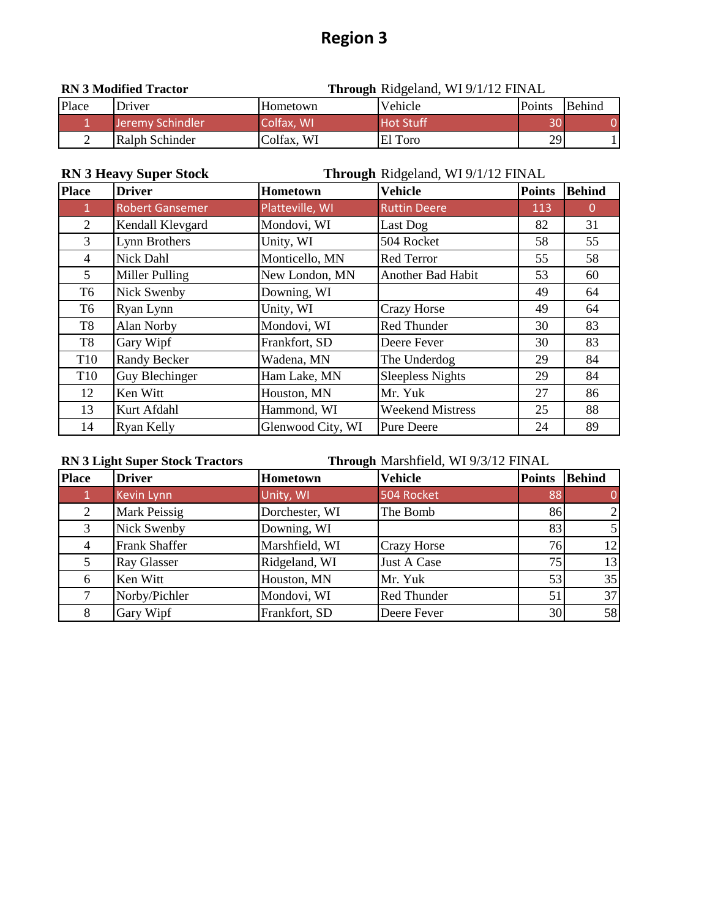| <b>RN 3 Modified Tractor</b> |                  |            | <b>Through Ridgeland, WI 9/1/12 FINAL</b> |               |        |
|------------------------------|------------------|------------|-------------------------------------------|---------------|--------|
| Place                        | Driver           | Hometown   | Vehicle                                   | <b>Points</b> | Behind |
|                              | Jeremy Schindler | Colfax, WI | <b>Hot Stuff</b>                          | 30            |        |
|                              | Ralph Schinder   | Colfax, WI | El Toro                                   | 29            |        |

| <b>RN 3 Heavy Super Stock</b><br>Through Ridgeland, WI 9/1/12 FINAL |                        |                   |                          |               |               |
|---------------------------------------------------------------------|------------------------|-------------------|--------------------------|---------------|---------------|
| <b>Place</b>                                                        | <b>Driver</b>          | <b>Hometown</b>   | Vehicle                  | <b>Points</b> | <b>Behind</b> |
| $\mathbf{1}$                                                        | <b>Robert Gansemer</b> | Platteville, WI   | <b>Ruttin Deere</b>      | 113           | $\Omega$      |
| 2                                                                   | Kendall Klevgard       | Mondovi, WI       | Last Dog                 | 82            | 31            |
| 3                                                                   | Lynn Brothers          | Unity, WI         | 504 Rocket               | 58            | 55            |
| 4                                                                   | Nick Dahl              | Monticello, MN    | <b>Red Terror</b>        | 55            | 58            |
| 5                                                                   | Miller Pulling         | New London, MN    | <b>Another Bad Habit</b> | 53            | 60            |
| T <sub>6</sub>                                                      | Nick Swenby            | Downing, WI       |                          | 49            | 64            |
| T6                                                                  | Ryan Lynn              | Unity, WI         | <b>Crazy Horse</b>       | 49            | 64            |
| T <sub>8</sub>                                                      | Alan Norby             | Mondovi, WI       | Red Thunder              | 30            | 83            |
| T8                                                                  | Gary Wipf              | Frankfort, SD     | Deere Fever              | 30            | 83            |
| T <sub>10</sub>                                                     | <b>Randy Becker</b>    | Wadena, MN        | The Underdog             | 29            | 84            |
| T <sub>10</sub>                                                     | Guy Blechinger         | Ham Lake, MN      | <b>Sleepless Nights</b>  | 29            | 84            |
| 12                                                                  | Ken Witt               | Houston, MN       | Mr. Yuk                  | 27            | 86            |
| 13                                                                  | Kurt Afdahl            | Hammond, WI       | <b>Weekend Mistress</b>  | 25            | 88            |
| 14                                                                  | Ryan Kelly             | Glenwood City, WI | <b>Pure Deere</b>        | 24            | 89            |

#### **RN 3 Light Super Stock Tractors**

**Through** Marshfield, WI 9/3/12 FINAL

| <b>Place</b> | <b>Driver</b>        | Hometown       | <b>Vehicle</b>     | <b>Points</b>   | <b>Behind</b>   |
|--------------|----------------------|----------------|--------------------|-----------------|-----------------|
|              | Kevin Lynn           | Unity, WI      | 504 Rocket         | 88              |                 |
| 2            | Mark Peissig         | Dorchester, WI | The Bomb           | 86              |                 |
| 3            | Nick Swenby          | Downing, WI    |                    | 83              |                 |
| 4            | <b>Frank Shaffer</b> | Marshfield, WI | <b>Crazy Horse</b> | 76 <sub>l</sub> | 12 <sup>1</sup> |
| 5            | <b>Ray Glasser</b>   | Ridgeland, WI  | Just A Case        | 75              | 13              |
| 6            | Ken Witt             | Houston, MN    | Mr. Yuk            | 53              | 35              |
|              | Norby/Pichler        | Mondovi, WI    | Red Thunder        | 51              | 37              |
|              | Gary Wipf            | Frankfort, SD  | Deere Fever        | $30$            | 58              |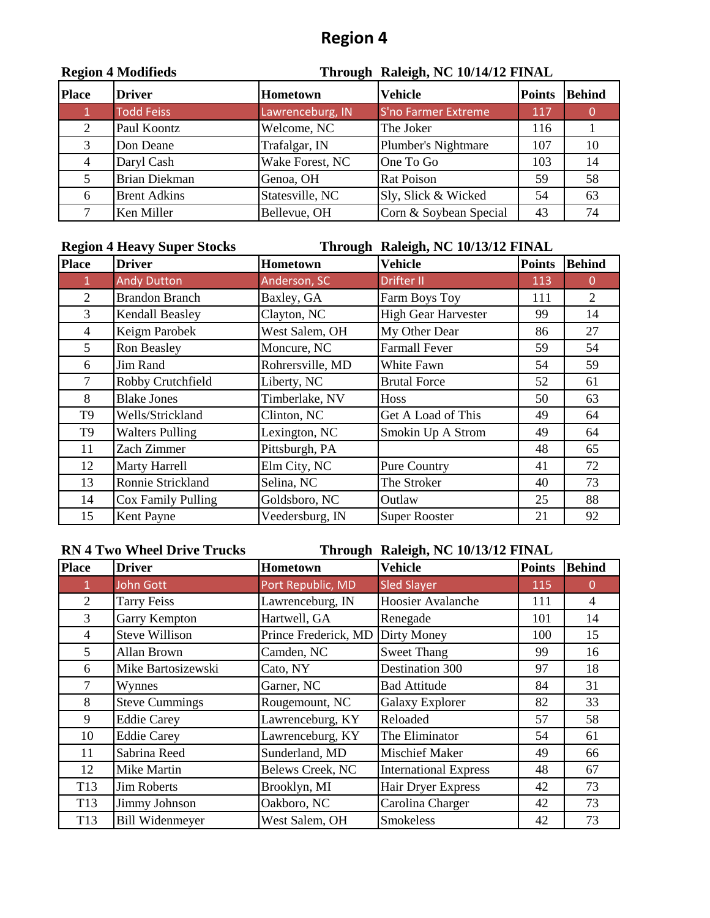|              | <b>RESION 4 MOUNTERS</b> |                  | THrough Raieigh, INC TO/14/12 FINAL |               |               |  |  |
|--------------|--------------------------|------------------|-------------------------------------|---------------|---------------|--|--|
| <b>Place</b> | <b>Driver</b>            | Hometown         | <b>Vehicle</b>                      | <b>Points</b> | <b>Behind</b> |  |  |
|              | <b>Todd Feiss</b>        | Lawrenceburg, IN | S'no Farmer Extreme                 | 117           |               |  |  |
| 2            | Paul Koontz              | Welcome, NC      | The Joker                           | 116           |               |  |  |
| 3            | Don Deane                | Trafalgar, IN    | Plumber's Nightmare                 | 107           | 10            |  |  |
| 4            | Daryl Cash               | Wake Forest, NC  | One To Go                           | 103           | 14            |  |  |
|              | <b>Brian Diekman</b>     | Genoa, OH        | <b>Rat Poison</b>                   | 59            | 58            |  |  |
| 6            | <b>Brent Adkins</b>      | Statesville, NC  | Sly, Slick & Wicked                 | 54            | 63            |  |  |
|              | Ken Miller               | Bellevue, OH     | Corn & Soybean Special              | 43            | 74            |  |  |

#### **Region 4 Modifieds Through Raleigh, NC 10/14/12 FINAL**

### **Region 4 Heavy Super Stocks Through Raleigh, NC 10/13/12 FINAL**

| <b>Place</b>   | <b>Driver</b>          | <b>Hometown</b>  | <b>Vehicle</b>             | <b>Points</b> | <b>Behind</b> |
|----------------|------------------------|------------------|----------------------------|---------------|---------------|
| $\mathbf{1}$   | <b>Andy Dutton</b>     | Anderson, SC     | Drifter II                 | 113           | $\Omega$      |
| 2              | <b>Brandon Branch</b>  | Baxley, GA       | Farm Boys Toy              | 111           | 2             |
| 3              | Kendall Beasley        | Clayton, NC      | <b>High Gear Harvester</b> | 99            | 14            |
| $\overline{4}$ | Keigm Parobek          | West Salem, OH   | My Other Dear              | 86            | 27            |
| 5              | Ron Beasley            | Moncure, NC      | <b>Farmall Fever</b>       | 59            | 54            |
| 6              | Jim Rand               | Rohrersville, MD | White Fawn                 | 54            | 59            |
| 7              | Robby Crutchfield      | Liberty, NC      | <b>Brutal Force</b>        | 52            | 61            |
| 8              | <b>Blake Jones</b>     | Timberlake, NV   | <b>Hoss</b>                | 50            | 63            |
| T <sub>9</sub> | Wells/Strickland       | Clinton, NC      | Get A Load of This         | 49            | 64            |
| T <sub>9</sub> | <b>Walters Pulling</b> | Lexington, NC    | Smokin Up A Strom          | 49            | 64            |
| 11             | Zach Zimmer            | Pittsburgh, PA   |                            | 48            | 65            |
| 12             | Marty Harrell          | Elm City, NC     | <b>Pure Country</b>        | 41            | 72            |
| 13             | Ronnie Strickland      | Selina, NC       | The Stroker                | 40            | 73            |
| 14             | Cox Family Pulling     | Goldsboro, NC    | Outlaw                     | 25            | 88            |
| 15             | Kent Payne             | Veedersburg, IN  | <b>Super Rooster</b>       | 21            | 92            |

**RN 4 Two Wheel Drive Trucks Through Raleigh, NC 10/13/12 FINAL**

| <b>Place</b>    | <b>Driver</b>          | Hometown             | <b>Vehicle</b>               | <b>Points</b> | <b>Behind</b> |
|-----------------|------------------------|----------------------|------------------------------|---------------|---------------|
| $\mathbf{1}$    | John Gott              | Port Republic, MD    | <b>Sled Slayer</b>           | 115           | 0             |
| 2               | <b>Tarry Feiss</b>     | Lawrenceburg, IN     | Hoosier Avalanche            | 111           | 4             |
| 3               | Garry Kempton          | Hartwell, GA         | Renegade                     | 101           | 14            |
| 4               | <b>Steve Willison</b>  | Prince Frederick, MD | Dirty Money                  | 100           | 15            |
| 5               | Allan Brown            | Camden, NC           | <b>Sweet Thang</b>           | 99            | 16            |
| 6               | Mike Bartosizewski     | Cato, NY             | Destination 300              | 97            | 18            |
| 7               | Wynnes                 | Garner, NC           | <b>Bad Attitude</b>          | 84            | 31            |
| 8               | <b>Steve Cummings</b>  | Rougemount, NC       | <b>Galaxy Explorer</b>       | 82            | 33            |
| 9               | <b>Eddie Carey</b>     | Lawrenceburg, KY     | Reloaded                     | 57            | 58            |
| 10              | <b>Eddie Carey</b>     | Lawrenceburg, KY     | The Eliminator               | 54            | 61            |
| 11              | Sabrina Reed           | Sunderland, MD       | <b>Mischief Maker</b>        | 49            | 66            |
| 12              | Mike Martin            | Belews Creek, NC     | <b>International Express</b> | 48            | 67            |
| T <sub>13</sub> | <b>Jim Roberts</b>     | Brooklyn, MI         | Hair Dryer Express           | 42            | 73            |
| T <sub>13</sub> | Jimmy Johnson          | Oakboro, NC          | Carolina Charger             | 42            | 73            |
| T13             | <b>Bill Widenmeyer</b> | West Salem, OH       | Smokeless                    | 42            | 73            |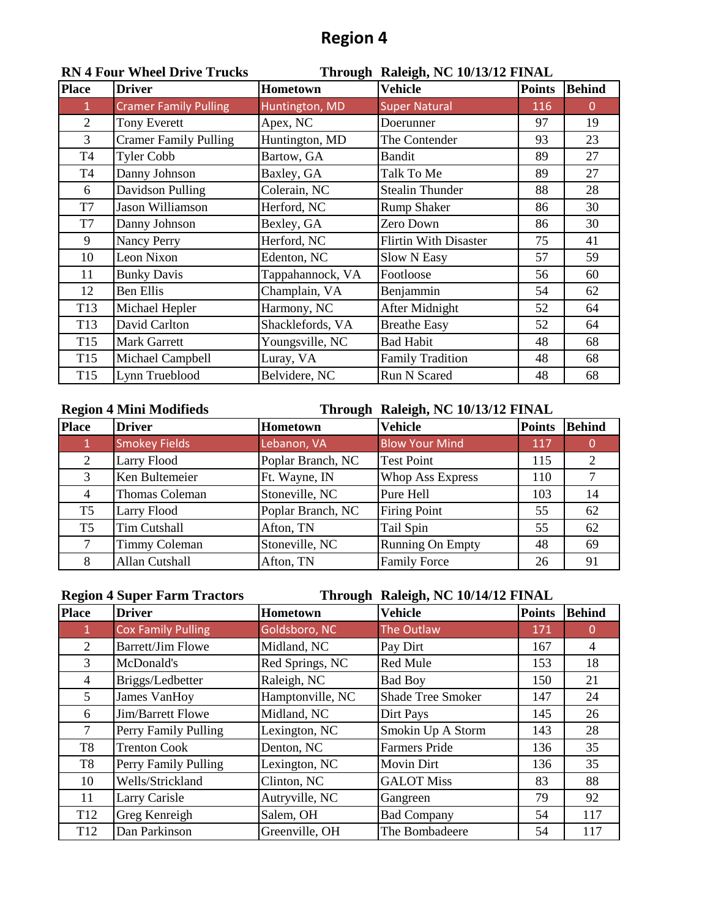|                 | NN 4 FOUL WHEEL DITVE TIUCKS |                  | THrough Kaleigh, NC 10/13/12 FINAL |               |               |
|-----------------|------------------------------|------------------|------------------------------------|---------------|---------------|
| <b>Place</b>    | <b>Driver</b>                | Hometown         | <b>Vehicle</b>                     | <b>Points</b> | <b>Behind</b> |
| 1               | <b>Cramer Family Pulling</b> | Huntington, MD   | <b>Super Natural</b>               | 116           | $\Omega$      |
| $\overline{2}$  | <b>Tony Everett</b>          | Apex, NC         | Doerunner                          | 97            | 19            |
| $\mathfrak{Z}$  | <b>Cramer Family Pulling</b> | Huntington, MD   | The Contender                      | 93            | 23            |
| T4              | <b>Tyler Cobb</b>            | Bartow, GA       | <b>Bandit</b>                      | 89            | 27            |
| T4              | Danny Johnson                | Baxley, GA       | Talk To Me                         | 89            | 27            |
| 6               | Davidson Pulling             | Colerain, NC     | <b>Stealin Thunder</b>             | 88            | 28            |
| T7              | Jason Williamson             | Herford, NC      | <b>Rump Shaker</b>                 | 86            | 30            |
| T7              | Danny Johnson                | Bexley, GA       | Zero Down                          | 86            | 30            |
| 9               | <b>Nancy Perry</b>           | Herford, NC      | <b>Flirtin With Disaster</b>       | 75            | 41            |
| 10              | Leon Nixon                   | Edenton, NC      | Slow N Easy                        | 57            | 59            |
| 11              | <b>Bunky Davis</b>           | Tappahannock, VA | Footloose                          | 56            | 60            |
| 12              | <b>Ben Ellis</b>             | Champlain, VA    | Benjammin                          | 54            | 62            |
| T <sub>13</sub> | Michael Hepler               | Harmony, NC      | After Midnight                     | 52            | 64            |
| T <sub>13</sub> | David Carlton                | Shacklefords, VA | <b>Breathe Easy</b>                | 52            | 64            |
| T <sub>15</sub> | <b>Mark Garrett</b>          | Youngsville, NC  | <b>Bad Habit</b>                   | 48            | 68            |
| T <sub>15</sub> | Michael Campbell             | Luray, VA        | <b>Family Tradition</b>            | 48            | 68            |
| T <sub>15</sub> | Lynn Trueblood               | Belvidere, NC    | Run N Scared                       | 48            | 68            |

#### **RN 4 Four Wheel Drive Trucks Through Raleigh, NC 10/13/12 FINAL**

### **Region 4 Mini Modifieds Through Raleigh, NC 10/13/12 FINAL**

| <b>Place</b>   | <b>Driver</b>        | Hometown          | Vehicle                 | <b>Points</b> | <b>Behind</b> |
|----------------|----------------------|-------------------|-------------------------|---------------|---------------|
|                | <b>Smokey Fields</b> | Lebanon, VA       | <b>Blow Your Mind</b>   | 117           |               |
| 2              | Larry Flood          | Poplar Branch, NC | <b>Test Point</b>       | 115           |               |
| 3              | Ken Bultemeier       | Ft. Wayne, IN     | <b>Whop Ass Express</b> | 110           |               |
| 4              | Thomas Coleman       | Stoneville, NC    | Pure Hell               | 103           | 14            |
| T <sub>5</sub> | Larry Flood          | Poplar Branch, NC | <b>Firing Point</b>     | 55            | 62            |
| T <sub>5</sub> | <b>Tim Cutshall</b>  | Afton, TN         | Tail Spin               | 55            | 62            |
| $\tau$         | <b>Timmy Coleman</b> | Stoneville, NC    | <b>Running On Empty</b> | 48            | 69            |
| 8              | Allan Cutshall       | Afton, TN         | <b>Family Force</b>     | 26            | 91            |

|                 | <b>Region 4 Super Farm Tractors</b> | Through Raleigh, NC 10/14/12 FINAL |                          |               |          |  |
|-----------------|-------------------------------------|------------------------------------|--------------------------|---------------|----------|--|
| <b>Place</b>    | <b>Driver</b>                       | <b>Hometown</b>                    | <b>Vehicle</b>           | <b>Points</b> | Behind   |  |
| $\mathbf{1}$    | <b>Cox Family Pulling</b>           | Goldsboro, NC                      | The Outlaw               | 171           | $\Omega$ |  |
| $\mathfrak{D}$  | <b>Barrett/Jim Flowe</b>            | Midland, NC                        | Pay Dirt                 | 167           | 4        |  |
| 3               | McDonald's                          | Red Springs, NC                    | <b>Red Mule</b>          | 153           | 18       |  |
| 4               | Briggs/Ledbetter                    | Raleigh, NC                        | <b>Bad Boy</b>           | 150           | 21       |  |
| 5               | James VanHoy                        | Hamptonville, NC                   | <b>Shade Tree Smoker</b> | 147           | 24       |  |
| 6               | Jim/Barrett Flowe                   | Midland, NC                        | Dirt Pays                | 145           | 26       |  |
| 7               | Perry Family Pulling                | Lexington, NC                      | Smokin Up A Storm        | 143           | 28       |  |
| T <sub>8</sub>  | <b>Trenton Cook</b>                 | Denton, NC                         | <b>Farmers Pride</b>     | 136           | 35       |  |
| T <sub>8</sub>  | Perry Family Pulling                | Lexington, NC                      | <b>Movin Dirt</b>        | 136           | 35       |  |
| 10              | Wells/Strickland                    | Clinton, NC                        | <b>GALOT Miss</b>        | 83            | 88       |  |
| 11              | Larry Carisle                       | Autryville, NC                     | Gangreen                 | 79            | 92       |  |
| T <sub>12</sub> | Greg Kenreigh                       | Salem, OH                          | <b>Bad Company</b>       | 54            | 117      |  |
| T <sub>12</sub> | Dan Parkinson                       | Greenville, OH                     | The Bombadeere           | 54            | 117      |  |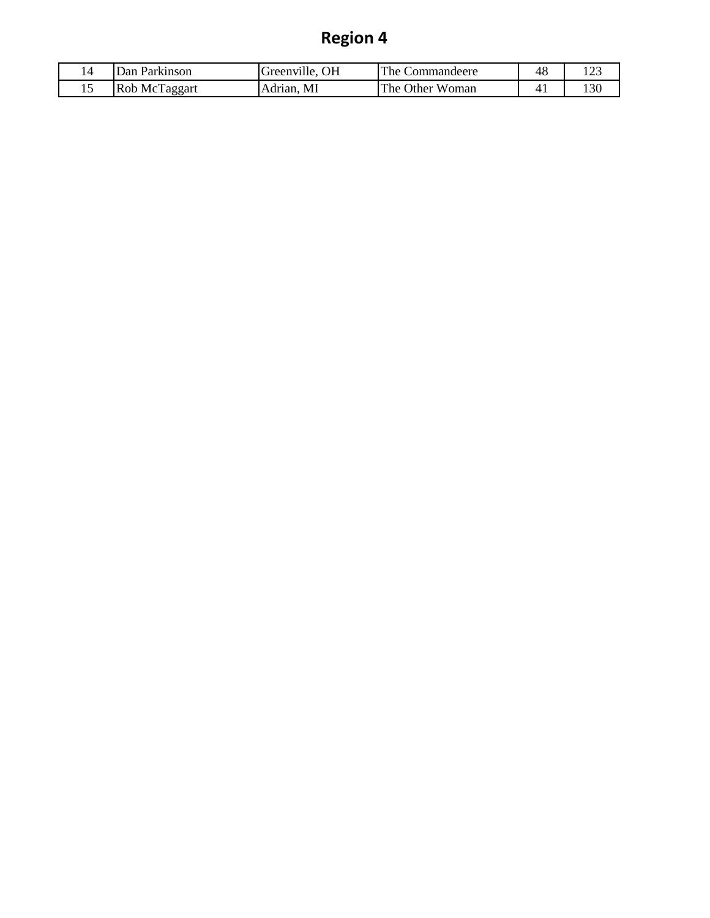|    | )an<br>Parkinson | OН<br>Greenville. | $The \, \lambda$<br>Commandeere | 48       |     |
|----|------------------|-------------------|---------------------------------|----------|-----|
| ⊥⊷ | Rob McTaggart    | MI<br>Adrian.     | The c<br>Woman<br>Other         | 4<br>т д | 130 |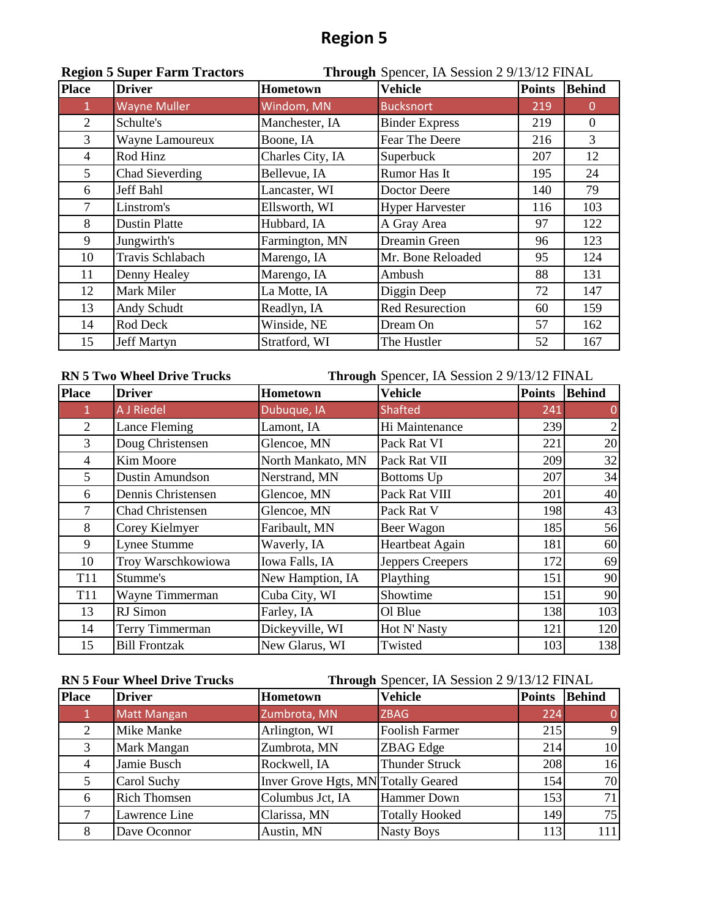|                | <b>Region 5 Super Farm Tractors</b> |                  | Through Spencer, IA Session 2 9/13/12 FINAL |               |               |
|----------------|-------------------------------------|------------------|---------------------------------------------|---------------|---------------|
| <b>Place</b>   | <b>Driver</b>                       | <b>Hometown</b>  | Vehicle                                     | <b>Points</b> | <b>Behind</b> |
|                | <b>Wayne Muller</b>                 | Windom, MN       | <b>Bucksnort</b>                            | 219           | 0             |
| $\overline{2}$ | Schulte's                           | Manchester, IA   | <b>Binder Express</b>                       | 219           | $\Omega$      |
| $\overline{3}$ | Wayne Lamoureux                     | Boone, IA        | Fear The Deere                              | 216           | 3             |
| $\overline{4}$ | Rod Hinz                            | Charles City, IA | Superbuck                                   | 207           | 12            |
| 5 <sup>5</sup> | Chad Sieverding                     | Bellevue, IA     | <b>Rumor Has It</b>                         | 195           | 24            |
| 6              | Jeff Bahl                           | Lancaster, WI    | Doctor Deere                                | 140           | 79            |
| 7              | Linstrom's                          | Ellsworth, WI    | <b>Hyper Harvester</b>                      | 116           | 103           |
| 8              | <b>Dustin Platte</b>                | Hubbard, IA      | A Gray Area                                 | 97            | 122           |
| 9              | Jungwirth's                         | Farmington, MN   | Dreamin Green                               | 96            | 123           |
| 10             | Travis Schlabach                    | Marengo, IA      | Mr. Bone Reloaded                           | 95            | 124           |
| 11             | Denny Healey                        | Marengo, IA      | Ambush                                      | 88            | 131           |
| 12             | Mark Miler                          | La Motte, IA     | Diggin Deep                                 | 72            | 147           |
| 13             | Andy Schudt                         | Readlyn, IA      | <b>Red Resurection</b>                      | 60            | 159           |
| 14             | Rod Deck                            | Winside, NE      | Dream On                                    | 57            | 162           |
| 15             | <b>Jeff Martyn</b>                  | Stratford, WI    | The Hustler                                 | 52            | 167           |

| <b>RN 5 Two Wheel Drive Trucks</b> |                        | Through Spencer, IA Session 2 9/13/12 FINAL |                  |               |               |
|------------------------------------|------------------------|---------------------------------------------|------------------|---------------|---------------|
| <b>Place</b>                       | <b>Driver</b>          | <b>Hometown</b>                             | <b>Vehicle</b>   | <b>Points</b> | <b>Behind</b> |
| 1                                  | <b>A J Riedel</b>      | Dubuque, IA                                 | <b>Shafted</b>   | 241           |               |
| 2                                  | Lance Fleming          | Lamont, IA                                  | Hi Maintenance   | 239           |               |
| $\overline{3}$                     | Doug Christensen       | Glencoe, MN                                 | Pack Rat VI      | 221           | 20            |
| 4                                  | Kim Moore              | North Mankato, MN                           | Pack Rat VII     | 209           | 32            |
| 5                                  | <b>Dustin Amundson</b> | Nerstrand, MN                               | Bottoms Up       | 207           | 34            |
| 6                                  | Dennis Christensen     | Glencoe, MN                                 | Pack Rat VIII    | 201           | 40            |
| $\tau$                             | Chad Christensen       | Glencoe, MN                                 | Pack Rat V       | 198           | 43            |
| 8                                  | Corey Kielmyer         | Faribault, MN                               | Beer Wagon       | 185           | 56            |
| 9                                  | Lynee Stumme           | Waverly, IA                                 | Heartbeat Again  | 181           | 60            |
| 10                                 | Troy Warschkowiowa     | Iowa Falls, IA                              | Jeppers Creepers | 172           | 69            |
| T <sub>11</sub>                    | Stumme's               | New Hamption, IA                            | Plaything        | 151           | 90            |
| <b>T11</b>                         | Wayne Timmerman        | Cuba City, WI                               | Showtime         | 151           | 90            |
| 13                                 | RJ Simon               | Farley, IA                                  | Ol Blue          | 138           | 103           |
| 14                                 | Terry Timmerman        | Dickeyville, WI                             | Hot N' Nasty     | 121           | 120           |
| 15                                 | <b>Bill Frontzak</b>   | New Glarus, WI                              | Twisted          | 103           | 138           |

**RN 5 Four Wheel Drive Trucks Through** Spencer, IA Session 2 9/13/12 FINAL

| <b>Place</b>   | <b>Driver</b>       | Hometown                            | <b>Vehicle</b>        | <b>Points</b> | <b>Behind</b> |
|----------------|---------------------|-------------------------------------|-----------------------|---------------|---------------|
|                | <b>Matt Mangan</b>  | Zumbrota, MN                        | <b>ZBAG</b>           | 224           | 0             |
| 2              | Mike Manke          | Arlington, WI                       | <b>Foolish Farmer</b> | 215           | 9             |
| 3              | Mark Mangan         | Zumbrota, MN                        | <b>ZBAG</b> Edge      | 214           | 10            |
| $\overline{4}$ | Jamie Busch         | Rockwell, IA                        | <b>Thunder Struck</b> | 208           | 16            |
|                | Carol Suchy         | Inver Grove Hgts, MN Totally Geared |                       | 154           | 70            |
| 6              | <b>Rich Thomsen</b> | Columbus Jct, IA                    | <b>Hammer Down</b>    | 153           | 71            |
|                | Lawrence Line       | Clarissa, MN                        | <b>Totally Hooked</b> | 149           | 75            |
| 8              | Dave Oconnor        | Austin, MN                          | <b>Nasty Boys</b>     | 113           | 111           |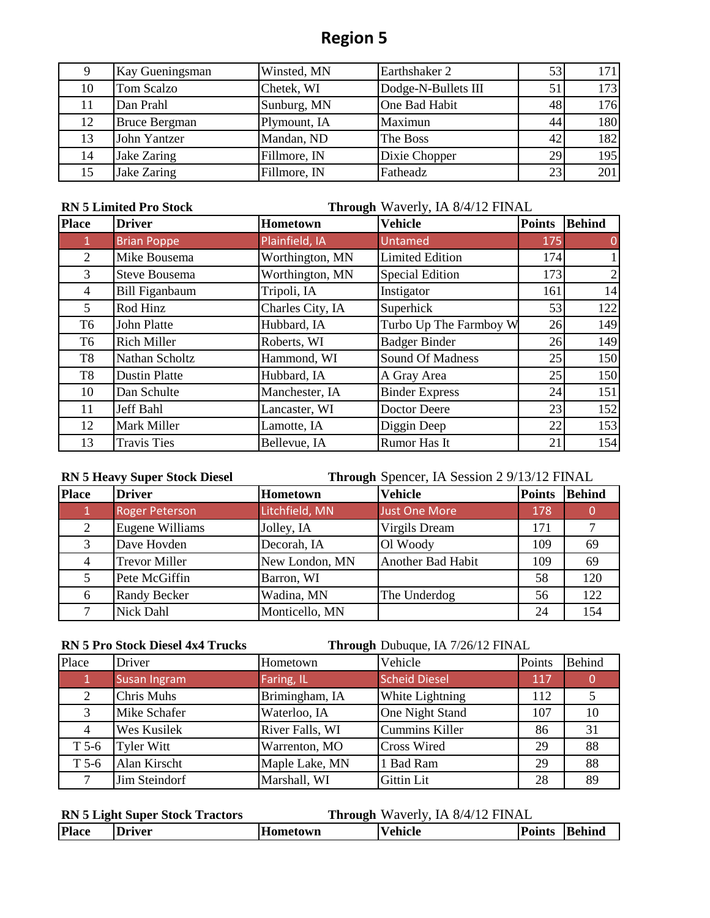|    | Kay Gueningsman      | Winsted, MN  | Earthshaker 2       | 53 | 171 |
|----|----------------------|--------------|---------------------|----|-----|
| 10 | Tom Scalzo           | Chetek, WI   | Dodge-N-Bullets III | 51 | 173 |
| 11 | Dan Prahl            | Sunburg, MN  | One Bad Habit       | 48 | 176 |
| 12 | <b>Bruce Bergman</b> | Plymount, IA | Maximun             | 44 | 180 |
| 13 | John Yantzer         | Mandan, ND   | The Boss            | 42 | 182 |
| 14 | Jake Zaring          | Fillmore, IN | Dixie Chopper       | 29 | 195 |
| 15 | Jake Zaring          | Fillmore, IN | Fatheadz            | 23 | 201 |

#### **RN 5 Limited Pro Stock**

**Through** Waverly, IA 8/4/12 FINAL

| <b>Place</b>   | <b>Driver</b>         | Hometown         | <b>Vehicle</b>         | <b>Points</b> | <b>Behind</b> |
|----------------|-----------------------|------------------|------------------------|---------------|---------------|
| -1.            | <b>Brian Poppe</b>    | Plainfield, IA   | Untamed                | 175           | 0             |
| 2              | Mike Bousema          | Worthington, MN  | <b>Limited Edition</b> | 174           |               |
| 3              | Steve Bousema         | Worthington, MN  | Special Edition        | 173           |               |
| 4              | <b>Bill Figanbaum</b> | Tripoli, IA      | Instigator             | 161           | 14            |
| 5              | Rod Hinz              | Charles City, IA | Superhick              | 53            | 122           |
| T6             | John Platte           | Hubbard, IA      | Turbo Up The Farmboy W | 26            | 149           |
| T <sub>6</sub> | <b>Rich Miller</b>    | Roberts, WI      | <b>Badger Binder</b>   | 26            | 149           |
| T <sub>8</sub> | Nathan Scholtz        | Hammond, WI      | Sound Of Madness       | 25            | 150           |
| T <sub>8</sub> | <b>Dustin Platte</b>  | Hubbard, IA      | A Gray Area            | 25            | 150           |
| 10             | Dan Schulte           | Manchester, IA   | <b>Binder Express</b>  | 24            | 151           |
| 11             | Jeff Bahl             | Lancaster, WI    | Doctor Deere           | 23            | 152           |
| 12             | Mark Miller           | Lamotte, IA      | Diggin Deep            | 22            | 153           |
| 13             | <b>Travis Ties</b>    | Bellevue, IA     | Rumor Has It           | 21            | 154           |

#### **Through** Spencer, IA Session 2 9/13/12 FINAL **RN 5 Heavy Super Stock Diesel**

| <b>Place</b> | <b>Driver</b>         | Hometown       | <b>Vehicle</b>       | <b>Points</b> | <b>Behind</b> |
|--------------|-----------------------|----------------|----------------------|---------------|---------------|
|              | <b>Roger Peterson</b> | Litchfield, MN | <b>Just One More</b> | 178           |               |
| 2            | Eugene Williams       | Jolley, IA     | Virgils Dream        | 171           |               |
| 3            | Dave Hovden           | Decorah, IA    | Ol Woody             | 109           | 69            |
| 4            | <b>Trevor Miller</b>  | New London, MN | Another Bad Habit    | 109           | 69            |
|              | Pete McGiffin         | Barron, WI     |                      | 58            | 120           |
| 6            | <b>Randy Becker</b>   | Wadina, MN     | The Underdog         | 56            | 122           |
|              | Nick Dahl             | Monticello, MN |                      | 24            | 154           |

**RN 5 Pro Stock Diesel 4x4 Trucks Through** Dubuque, IA 7/26/12 FINAL

| Place   | Driver              | Hometown        | Vehicle               | Points | <b>Behind</b> |
|---------|---------------------|-----------------|-----------------------|--------|---------------|
|         | <b>Susan Ingram</b> | Faring, IL      | <b>Scheid Diesel</b>  | 117    |               |
| 2       | <b>Chris Muhs</b>   | Brimingham, IA  | White Lightning       | 112    |               |
| 3       | Mike Schafer        | Waterloo, IA    | One Night Stand       | 107    | 10            |
| 4       | Wes Kusilek         | River Falls, WI | <b>Cummins Killer</b> | 86     | 31            |
| $T$ 5-6 | <b>Tyler Witt</b>   | Warrenton, MO   | <b>Cross Wired</b>    | 29     | 88            |
| $T$ 5-6 | Alan Kirscht        | Maple Lake, MN  | 1 Bad Ram             | 29     | 88            |
|         | Jim Steindorf       | Marshall, WI    | <b>Gittin Lit</b>     | 28     | 89            |

| <b>RN 5 Light Super Stock Tractors</b> |               | <b>Through Waverly, IA 8/4/12 FINAL</b> |                |               |  |  |
|----------------------------------------|---------------|-----------------------------------------|----------------|---------------|--|--|
| <b>Place</b>                           | <b>Driver</b> | Hometown                                | <b>Vehicle</b> | Points Behind |  |  |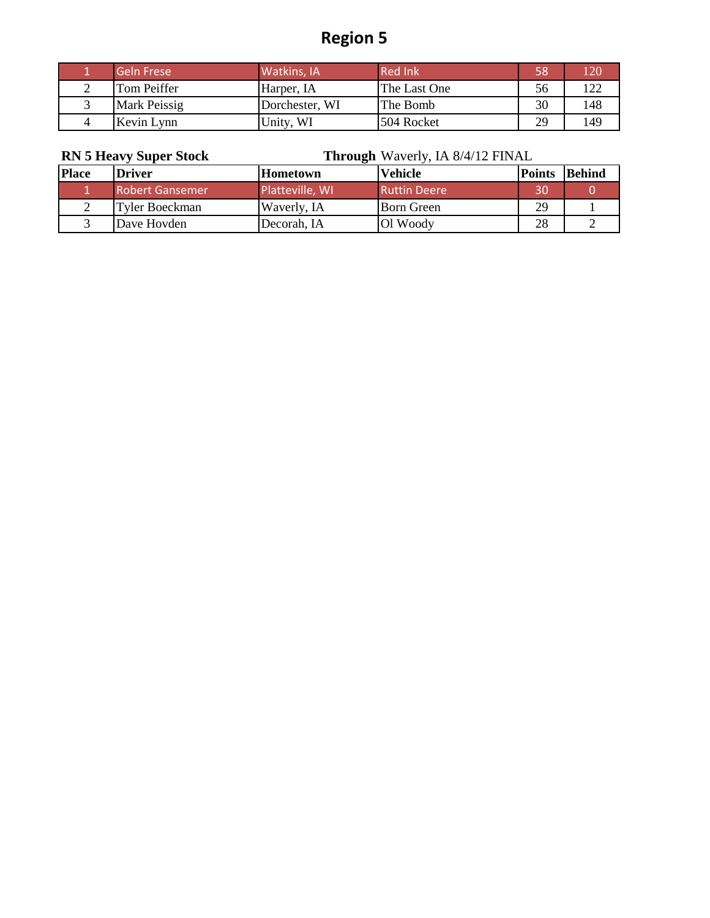| <b>Geln Frese</b> | Watkins, IA    | <b>Red Ink</b> | 58 | 120 |
|-------------------|----------------|----------------|----|-----|
| Tom Peiffer       | Harper, IA     | The Last One   | 56 | 122 |
| Mark Peissig      | Dorchester, WI | The Bomb       | 30 | 148 |
| Kevin Lynn        | Unity, WI      | 504 Rocket     | 29 | 149 |

### **RN 5 Heavy Super Stock Through** Waverly, IA 8/4/12 FINAL

| <b>Place</b> | <b>Driver</b>          | <b>Hometown</b> | Vehicle             | <b>Points</b> | <b>Behind</b> |
|--------------|------------------------|-----------------|---------------------|---------------|---------------|
|              | <b>Robert Gansemer</b> | Platteville, WI | <b>Ruttin Deere</b> | 30            |               |
|              | Tyler Boeckman         | Waverly, IA     | <b>Born Green</b>   | 29            |               |
|              | Dave Hovden            | Decorah. IA     | Ol Woody            | 28            |               |